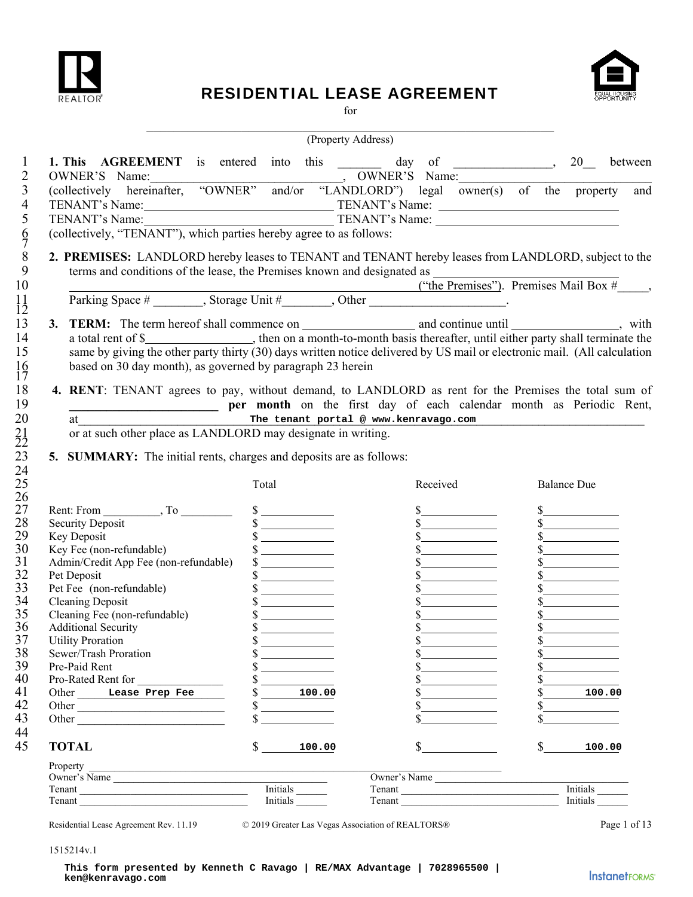

### RESIDENTIAL LEASE AGREEMENT



for

|                                                                                                                                                                                                                                                                                                                                                                                   | (Property Address)                |                                       |                      |
|-----------------------------------------------------------------------------------------------------------------------------------------------------------------------------------------------------------------------------------------------------------------------------------------------------------------------------------------------------------------------------------|-----------------------------------|---------------------------------------|----------------------|
| <b>1. This AGREEMENT</b> is entered into this $\frac{1}{2}$ day of $\frac{1}{20}$                                                                                                                                                                                                                                                                                                 |                                   |                                       | between              |
| OWNER'S Name:<br>(collectively hereinafter, "OWNER" and/or "LANDLORD") legal owner(s) of the property and                                                                                                                                                                                                                                                                         |                                   |                                       |                      |
|                                                                                                                                                                                                                                                                                                                                                                                   |                                   |                                       |                      |
|                                                                                                                                                                                                                                                                                                                                                                                   |                                   |                                       |                      |
| TENANT's Name:<br>TENANT's Name:<br>TENANT's Name:<br>TENANT's Name:<br>TENANT's Name:                                                                                                                                                                                                                                                                                            |                                   |                                       |                      |
| (collectively, "TENANT"), which parties hereby agree to as follows:                                                                                                                                                                                                                                                                                                               |                                   |                                       |                      |
| 2. PREMISES: LANDLORD hereby leases to TENANT and TENANT hereby leases from LANDLORD, subject to the                                                                                                                                                                                                                                                                              |                                   |                                       |                      |
|                                                                                                                                                                                                                                                                                                                                                                                   |                                   |                                       |                      |
|                                                                                                                                                                                                                                                                                                                                                                                   |                                   |                                       |                      |
| terms and conditions of the lease, the Premises known and designated as $($ "the Premises"). Premises Mail Box $#$ ,<br>Parking Space $#$ , Storage Unit $#$ , Other Charles Charles Charles Charles Mail Box $#$ ,                                                                                                                                                               |                                   |                                       |                      |
| 3. TERM: The term hereof shall commence on $\frac{1}{\frac{1}{1-\frac{1}{1-\frac{1}{1-\frac{1}{1-\frac{1}{1-\frac{1}{1-\frac{1}{1-\frac{1}{1-\frac{1}{1-\frac{1}{1-\frac{1}{1-\frac{1}{1-\frac{1}{1-\frac{1}{1-\frac{1}{1-\frac{1}{1-\frac{1}{1-\frac{1}{1-\frac{1}{1-\frac{1}{1-\frac{1}{1-\frac{1}{1-\frac{1}{1-\frac{1}{1-\frac{1}{1-\frac{1}{1-\frac{1}{1-\frac{1}{1-\frac{1$ |                                   |                                       |                      |
|                                                                                                                                                                                                                                                                                                                                                                                   |                                   |                                       |                      |
| same by giving the other party thirty (30) days written notice delivered by US mail or electronic mail. (All calculation                                                                                                                                                                                                                                                          |                                   |                                       |                      |
| based on 30 day month), as governed by paragraph 23 herein                                                                                                                                                                                                                                                                                                                        |                                   |                                       |                      |
|                                                                                                                                                                                                                                                                                                                                                                                   |                                   |                                       |                      |
| 4. RENT: TENANT agrees to pay, without demand, to LANDLORD as rent for the Premises the total sum of                                                                                                                                                                                                                                                                              |                                   |                                       |                      |
| per month on the first day of each calendar month as Periodic Rent,                                                                                                                                                                                                                                                                                                               |                                   |                                       |                      |
| at                                                                                                                                                                                                                                                                                                                                                                                |                                   | The tenant portal @ www.kenravago.com |                      |
| or at such other place as LANDLORD may designate in writing.                                                                                                                                                                                                                                                                                                                      |                                   |                                       |                      |
|                                                                                                                                                                                                                                                                                                                                                                                   | Total                             | Received                              | <b>Balance Due</b>   |
|                                                                                                                                                                                                                                                                                                                                                                                   |                                   |                                       |                      |
|                                                                                                                                                                                                                                                                                                                                                                                   | $\frac{\sqrt{2}}{2}$              |                                       |                      |
|                                                                                                                                                                                                                                                                                                                                                                                   | $\frac{\sqrt{2}}{2}$              | s                                     | $\frac{1}{2}$        |
|                                                                                                                                                                                                                                                                                                                                                                                   | $\frac{\sqrt{2}}{2}$              | $\frac{1}{2}$                         | s                    |
| Security Deposit<br>Key Deposit<br>Key Fee (non-refundable)                                                                                                                                                                                                                                                                                                                       | $\frac{\sqrt{2}}{2}$              |                                       |                      |
| Admin/Credit App Fee (non-refundable)                                                                                                                                                                                                                                                                                                                                             | $\sim$                            | $\frac{\text{S}}{\text{S}}$           |                      |
| Pet Deposit                                                                                                                                                                                                                                                                                                                                                                       | $\frac{\text{S}}{\text{S}}$       | s                                     | s                    |
| Pet Fee (non-refundable)                                                                                                                                                                                                                                                                                                                                                          | $\frac{\text{S}}{\text{S}}$       | s                                     | $\frac{\sqrt{2}}{2}$ |
| <b>Cleaning Deposit</b>                                                                                                                                                                                                                                                                                                                                                           | $\frac{\sqrt{2}}{2}$              | s                                     | $\frac{\sqrt{2}}{2}$ |
| Cleaning Fee (non-refundable)<br><b>Additional Security</b>                                                                                                                                                                                                                                                                                                                       | $\frac{\sqrt{2}}{2}$              |                                       | \$                   |
| <b>Utility Proration</b>                                                                                                                                                                                                                                                                                                                                                          |                                   |                                       |                      |
| Sewer/Trash Proration                                                                                                                                                                                                                                                                                                                                                             |                                   |                                       |                      |
| Pre-Paid Rent                                                                                                                                                                                                                                                                                                                                                                     | <u> The Common State Common</u>   |                                       |                      |
| Pro-Rated Rent for                                                                                                                                                                                                                                                                                                                                                                | <u>and the state of the state</u> |                                       |                      |
| Other Lease Prep Fee                                                                                                                                                                                                                                                                                                                                                              | 100.00                            |                                       | 100.00               |
| Other                                                                                                                                                                                                                                                                                                                                                                             | \$                                | $\frac{1}{2}$                         |                      |
| Other                                                                                                                                                                                                                                                                                                                                                                             | $\sim$                            | $\frac{\text{S}}{\text{S}}$           |                      |
| <b>TOTAL</b>                                                                                                                                                                                                                                                                                                                                                                      | $\frac{1}{2}$<br>100.00           | $\mathbb{S}$                          | \$                   |
| Property                                                                                                                                                                                                                                                                                                                                                                          |                                   |                                       | 100.00               |
| Owner's Name                                                                                                                                                                                                                                                                                                                                                                      |                                   | Owner's Name                          |                      |
| Tenant<br>Tenant                                                                                                                                                                                                                                                                                                                                                                  | Initials                          | Tenant<br>Tenant                      | $Initials$ $\qquad$  |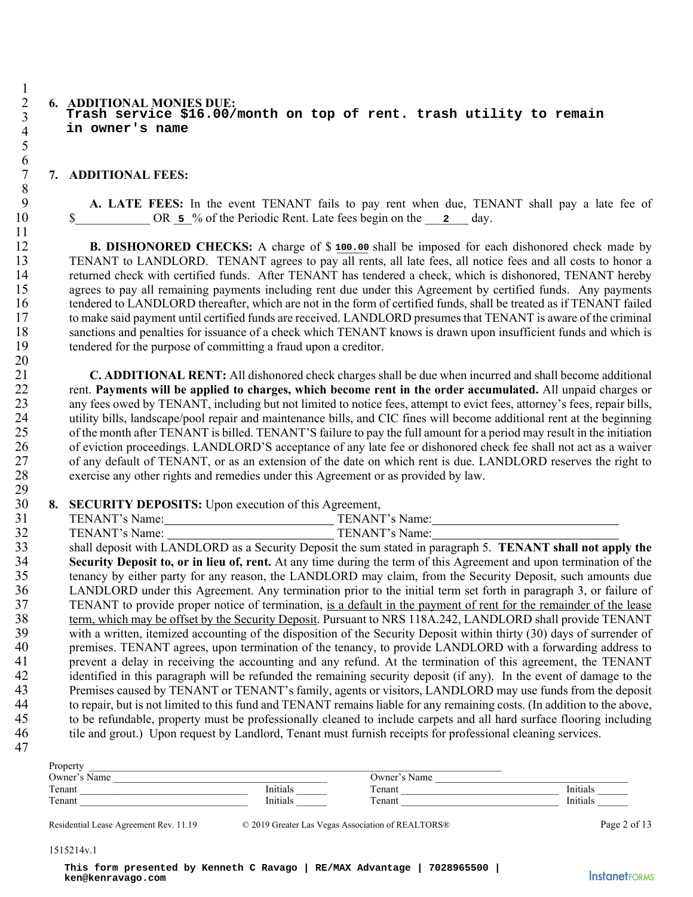#### 2 **6. ADDITIONAL MONIES DUE: Trash service \$16.00/month on top of rent. trash utility to remain in owner's name**

#### 7 **7. ADDITIONAL FEES:**

9 **A. LATE FEES:** In the event TENANT fails to pay rent when due, TENANT shall pay a late fee of 10 \$ OR  $\overline{5}$  % of the Periodic Rent. Late fees begin on the 2 day.

12 **B. DISHONORED CHECKS:** A charge of \$100.00 shall be imposed for each dishonored check made by 13 TENANT to LANDLORD. TENANT agrees to pay all rents, all late fees, all notice fees and all costs to honor a 14 returned check with certified funds. After TENANT has tendered a check, which is dishonored, TENANT hereby 15 agrees to pay all remaining payments including rent due under this Agreement by certified funds. Any payments 16 tendered to LANDLORD thereafter, which are not in the form of certified funds, shall be treated as if TENANT failed 17 to make said payment until certified funds are received. LANDLORD presumes that TENANT is aware of the criminal 18 sanctions and penalties for issuance of a check which TENANT knows is drawn upon insufficient funds and which is tendered for the purpose of committing a fraud upon a creditor. tendered for the purpose of committing a fraud upon a creditor.

21 **C. ADDITIONAL RENT:** All dishonored check charges shall be due when incurred and shall become additional 22 rent. **Payments will be applied to charges, which become rent in the order accumulated.** All unpaid charges or 23 any fees owed by TENANT, including but not limited to notice fees, attempt to evict fees, attorney's fees, repair bills, 24 utility bills, landscape/pool repair and maintenance bills, and CIC fines will become additional rent at the beginning<br>25 of the month after TENANT is billed. TENANT'S failure to pay the full amount for a period may res 25 of the month after TENANT is billed. TENANT'S failure to pay the full amount for a period may result in the initiation 26 of eviction proceedings. LANDLORD'S acceptance of any late fee or dishonored check fee shall not act as a waiver<br>27 of any default of TENANT, or as an extension of the date on which rent is due. LANDLORD reserves the ri of any default of TENANT, or as an extension of the date on which rent is due. LANDLORD reserves the right to 28 exercise any other rights and remedies under this Agreement or as provided by law.

30 **8. SECURITY DEPOSITS:** Upon execution of this Agreement,

| $^{\sim}$<br>JI | AN'<br>٠N<br>$\sim$ 444 $\sim$<br>vanie. | lame<br>N<br>N |
|-----------------|------------------------------------------|----------------|
| $\sim$<br>ے ر   | AN'<br>€NI<br>0.4880<br>vame             | √ame∶<br>N     |

33 shall deposit with LANDLORD as a Security Deposit the sum stated in paragraph 5. **TENANT shall not apply the Security Deposit to, or in lieu of, rent.** At any time during the term of this Agreement and upon termination of the tenancy by either party for any reason, the LANDLORD may claim, from the Security Deposit, such amounts 35 tenancy by either party for any reason, the LANDLORD may claim, from the Security Deposit, such amounts due 36 LANDLORD under this Agreement. Any termination prior to the initial term set forth in paragraph 3, or failure of 37 TENANT to provide proper notice of termination, is a default in the payment of rent for the remainder of the lease 38 term, which may be offset by the Security Deposit. Pursuant to NRS 118A.242, LANDLORD shall provide TENANT 39 with a written, itemized accounting of the disposition of the Security Deposit within thirty (30) days of surrender of 40 premises. TENANT agrees, upon termination of the tenancy, to provide LANDLORD with a forwarding address to 41 prevent a delay in receiving the accounting and any refund. At the termination of this agreement, the TENANT<br>42 identified in this paragraph will be refunded the remaining security denosit (if any). In the event of dama identified in this paragraph will be refunded the remaining security deposit (if any). In the event of damage to the 43 Premises caused by TENANT or TENANT's family, agents or visitors, LANDLORD may use funds from the deposit to repair, but is not limited to this fund and TENANT remains liable for any remaining costs. (In addition to the to repair, but is not limited to this fund and TENANT remains liable for any remaining costs. (In addition to the above, 45 to be refundable, property must be professionally cleaned to include carpets and all hard surface flooring including 46 tile and grout.) Upon request by Landlord, Tenant must furnish receipts for professional cleaning services.

| Property      |          |                 |                            |
|---------------|----------|-----------------|----------------------------|
| QWner<br>Name |          | ')wner'<br>Name |                            |
| Tenant        | 'nitials | Tenant          |                            |
| Tenant        | Initials | $T$ enant       | $\mathbf{r}$ .<br>'nitiai. |

Residential Lease Agreement Rev. 11.19 © 2019 Greater Las Vegas Association of REALTORS® Page 2 of 13

#### 1515214v.1

47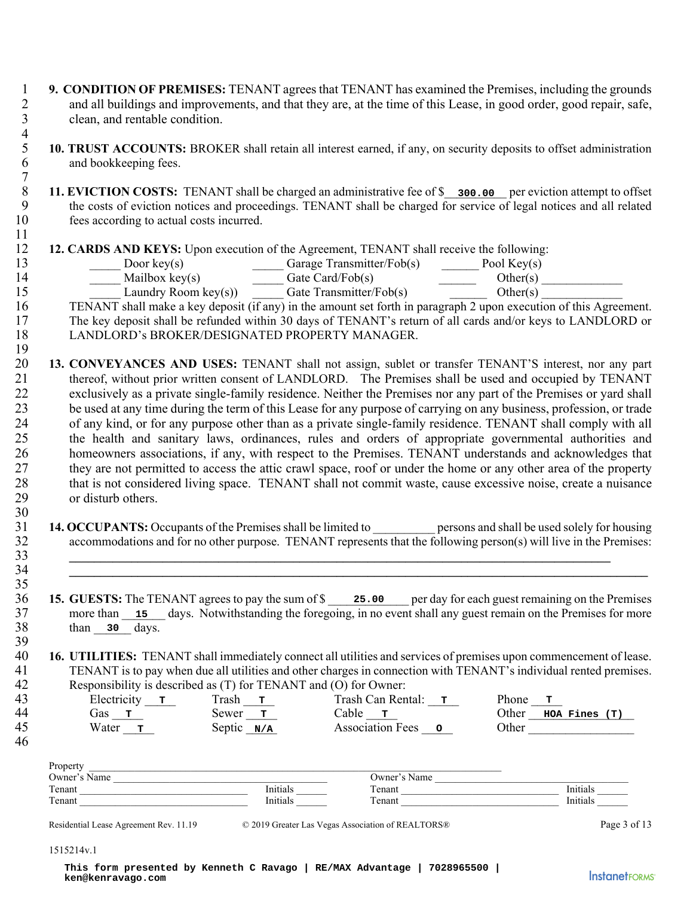- 1 **9. CONDITION OF PREMISES:** TENANT agrees that TENANT has examined the Premises, including the grounds 2 and all buildings and improvements, and that they are, at the time of this Lease, in good order, good repair, safe, 3 clean, and rentable condition.
- $\frac{4}{5}$ 5 **10. TRUST ACCOUNTS:** BROKER shall retain all interest earned, if any, on security deposits to offset administration and bookkeeping fees. and bookkeeping fees.
- 8 **11. EVICTION COSTS:** TENANT shall be charged an administrative fee of \$\_\_\_\_\_\_\_\_\_\_\_\_\_ per eviction attempt to offset<br>9 **11. EVICTION COSTS:** TENANT shall be charged for service of legal notices and all related the costs of eviction notices and proceedings. TENANT shall be charged for service of legal notices and all related 10 fees according to actual costs incurred.
- 12 **12. CARDS AND KEYS:** Upon execution of the Agreement, TENANT shall receive the following:<br>13 **12. CARDS AND KEYS:** Upon execution of the Agreement, TENANT shall receive the following:<br>19 **12. CARDS AND KEYS:** Upon exec

| ∸ → | Door kev(s)    | Garage Transmitter/ $Fob(s)$ | Pool Kev(s) |  |
|-----|----------------|------------------------------|-------------|--|
|     | Mailbox kev(s) | Gate Card/Fob(s)             | ther(s)     |  |

| aundry | kev(s)<br>-R oom | Tate | mmm<br>⊦obl<br>ransmitter/ | けいへいに |  |
|--------|------------------|------|----------------------------|-------|--|

16 TENANT shall make a key deposit (if any) in the amount set forth in paragraph 2 upon execution of this Agreement. 17 The key deposit shall be refunded within 30 days of TENANT's return of all cards and/or keys to LANDLORD or<br>18 LANDLORD's BROKER/DESIGNATED PROPERTY MANAGER. LANDLORD's BROKER/DESIGNATED PROPERTY MANAGER.

- $\frac{19}{20}$ 20 **13. CONVEYANCES AND USES:** TENANT shall not assign, sublet or transfer TENANT'S interest, nor any part 21 thereof, without prior written consent of LANDLORD. The Premises shall be used and occupied by TENANT 22 exclusively as a private single-family residence. Neither the Premises nor any part of the Premises or yard shall 23 be used at any time during the term of this Lease for any purpose of carrying on any business, profession, or trade 24 of any kind, or for any purpose other than as a private single-family residence. TENANT shall comply with all 25 the health and sanitary laws, ordinances, rules and orders of appropriate governmental authorities and 26 homeowners associations, if any, with respect to the Premises. TENANT understands and acknowledges that 27 they are not permitted to access the attic crawl space, roof or under the home or any other area of the property 28 that is not considered living space. TENANT shall not commit waste, cause excessive noise, create a nuisance 29 or disturb others. **EVICTION COSTS:** IP:NANT hall be changed an administrative level of  $S = 200$ .<br> **EVICEN DESTRANTS (SOFT) EVALUATS** that the costs of eviction notices and proceduling. TENANT shall be eiverget<br> **CARDS AND KEYS:** Upon exe
- 31 **14. OCCUPANTS:** Occupants of the Premises shall be limited to \_\_\_\_\_\_\_\_\_\_ persons and shall be used solely for housing 32 accommodations and for no other purpose. TENANT represents that the following person(s) will live in the Premises:<br>33 33 **\_\_\_\_\_\_\_\_\_\_\_\_\_\_\_\_\_\_\_\_\_\_\_\_\_\_\_\_\_\_\_\_\_\_\_\_\_\_\_\_\_\_\_\_\_\_\_\_\_\_\_\_\_\_\_\_\_\_\_\_\_\_\_\_\_\_\_\_\_\_\_\_\_\_\_\_\_\_\_\_\_\_\_\_\_\_\_**
- 34 **\_\_\_\_\_\_\_\_\_\_\_\_\_\_\_\_\_\_\_\_\_\_\_\_\_\_\_\_\_\_\_\_\_\_\_\_\_\_\_\_\_\_\_\_\_\_\_\_\_\_\_\_\_\_\_\_\_\_\_\_\_\_\_\_\_\_\_\_\_\_\_\_\_\_\_\_\_\_\_\_\_\_\_\_\_\_\_\_\_\_\_\_\_**

46

30

7

11

- 35
- 36 **15. GUESTS:** The TENANT agrees to pay the sum of \$ 25.00 per day for each guest remaining on the Premises 37 more than 15 days. Notwithstanding the foregoing, in no event shall any guest remain on the Premises for more 38 than 30 days.

39<br>40 40 **16. UTILITIES:** TENANT shall immediately connect all utilities and services of premises upon commencement of lease. 41 TENANT is to pay when due all utilities and other charges in connection with TENANT's individual rented premises.

| 42 | Responsibility is described as (T) for TENANT and (O) for Owner: |                |                         |                        |
|----|------------------------------------------------------------------|----------------|-------------------------|------------------------|
| 43 | Electricity $\mathbf{r}$                                         | Trash <b>T</b> | Trash Can Rental: T     | Phone<br>$\mathbf{T}$  |
| 44 | Gas т                                                            | Sewer <b>T</b> | Cable т                 | Other<br>HOA Fines (T) |
| 45 | Water<br>m,                                                      | Septic $N/A$   | <b>Association Fees</b> | Other                  |
| .  |                                                                  |                |                         |                        |

| Property                      |                 |                       |                 |
|-------------------------------|-----------------|-----------------------|-----------------|
| $\rightarrow$<br>Owner's Name |                 | Jwner'<br>Name        |                 |
| Tenant                        | . .<br>Initial. | enant                 | Initials        |
| Tenant                        | Initials        | $\mathbf{r}$<br>enant | <b>Initials</b> |

Residential Lease Agreement Rev. 11.19  $\degree$  2019 Greater Las Vegas Association of REALTORS® Page 3 of 13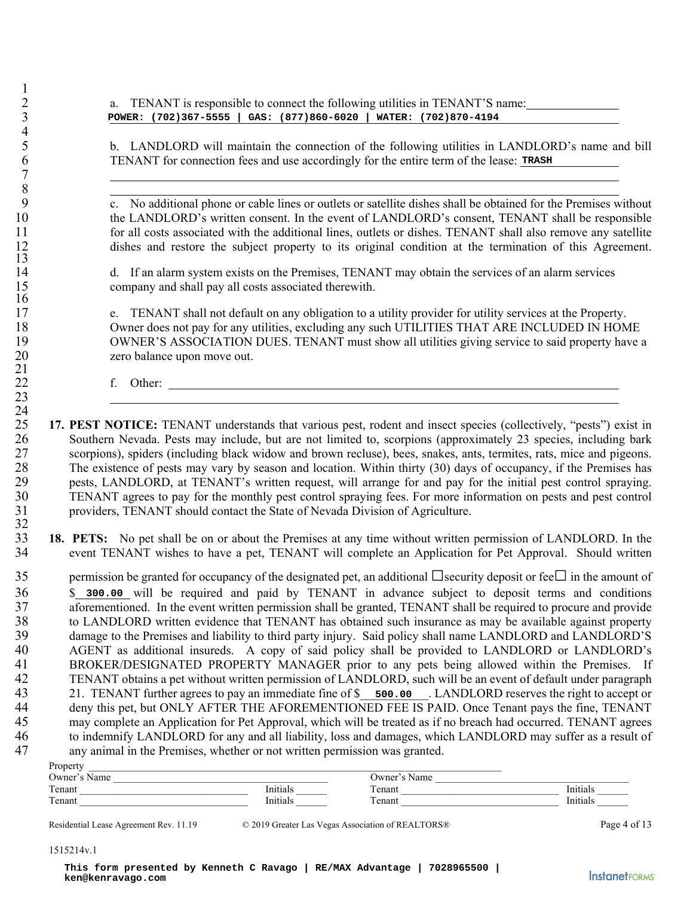2 2 a. TENANT is responsible to connect the following utilities in TENANT'S name:

5 b. LANDLORD will maintain the connection of the following utilities in LANDLORD's name and bill 6 TENANT for connection fees and use accordingly for the entire term of the lease:

9 c. No additional phone or cable lines or outlets or satellite dishes shall be obtained for the Premises without 10 the LANDLORD's written consent. In the event of LANDLORD's consent, TENANT shall be responsible 11 for all costs associated with the additional lines, outlets or dishes. TENANT shall also remove any satellite 12 dishes and restore the subject property to its original condition at the termination of this Agreement.

14 d. If an alarm system exists on the Premises, TENANT may obtain the services of an alarm services 15 company and shall pay all costs associated therewith.

17 e. TENANT shall not default on any obligation to a utility provider for utility services at the Property. 18 Owner does not pay for any utilities, excluding any such UTILITIES THAT ARE INCLUDED IN HOME 19 OWNER'S ASSOCIATION DUES. TENANT must show all utilities giving service to said property have a<br>20 zero balance upon move out. zero balance upon move out.

22 f. Other:

1

3  $\frac{4}{5}$ 

7 8

13

16

21

23

- $\frac{24}{25}$ 25 **17. PEST NOTICE:** TENANT understands that various pest, rodent and insect species (collectively, "pests") exist in 26 Southern Nevada. Pests may include, but are not limited to, scorpions (approximately 23 species, including bark 27 scorpions), spiders (including black widow and brown recluse), bees, snakes, ants, termites, rats, mice and pigeons.<br>28 The existence of pests may vary by season and location. Within thirty (30) days of occupancy, if th The existence of pests may vary by season and location. Within thirty (30) days of occupancy, if the Premises has 29 pests, LANDLORD, at TENANT's written request, will arrange for and pay for the initial pest control spraying.<br>30 TENANT agrees to pay for the monthly pest control spraying fees. For more information on pests and pest co 30 TENANT agrees to pay for the monthly pest control spraying fees. For more information on pests and pest control 31 providers, TENANT should contact the State of Nevada Division of Agriculture.
- $\frac{32}{33}$ 33 **18. PETS:** No pet shall be on or about the Premises at any time without written permission of LANDLORD. In the 34 event TENANT wishes to have a pet, TENANT will complete an Application for Pet Approval. Should written

35 permission be granted for occupancy of the designated pet, an additional  $\Box$  security deposit or fee $\Box$  in the amount of 36 \$ will be required and paid by TENANT in advance subject to deposit terms and conditions 37 aforementioned. In the event written permission shall be granted, TENANT shall be required to procure and provide 38 to LANDLORD written evidence that TENANT has obtained such insurance as may be available against property 39 damage to the Premises and liability to third party injury. Said policy shall name LANDLORD and LANDLORD'S 40 AGENT as additional insureds. A copy of said policy shall be provided to LANDLORD or LANDLORD's 41 BROKER/DESIGNATED PROPERTY MANAGER prior to any pets being allowed within the Premises. If 42 TENANT obtains a pet without written permission of LANDLORD, such will be an event of default under paragraph<br>43 21. TENANT further agrees to pay an immediate fine of \$ 500.00 LANDLORD reserves the right to accept or 43 21. TENANT further agrees to pay an immediate fine of \$\_\_\_\_\_\_\_\_\_\_\_. LANDLORD reserves the right to accept or 44 deny this pet, but ONLY AFTER THE AFOREMENTIONED FEE IS PAID. Once Tenant pays the fine, TENANT 45 may complete an Application for Pet Approval, which will be treated as if no breach had occurred. TENANT agrees 46 to indemnify LANDLORD for any and all liability, loss and damages, which LANDLORD may suffer as a result of 47 any animal in the Premises, whether or not written permission was granted. **konta.** (702)187-5558 | Gast 6971186-6020 | WATER: (702)1876-4124 **b** <br> **k** LANDLORID will maintain the connection of the following unitine in LANDLORID<br> **F** LANDLORID will mean to the connection of the following units of

| Propert          |                          |                       |              |
|------------------|--------------------------|-----------------------|--------------|
| $l$ Wner<br>Name |                          | <b>J</b> wner<br>Name |              |
| Tenant           | $\mathbf{r}$<br>Inītīals | $\sim$<br>enant       | .<br>Initial |
| Tenant           | Init<br>ппиав            | $\sim$<br>enant       | Initials     |

Residential Lease Agreement Rev. 11.19 © 2019 Greater Las Vegas Association of REALTORS® Page 4 of 13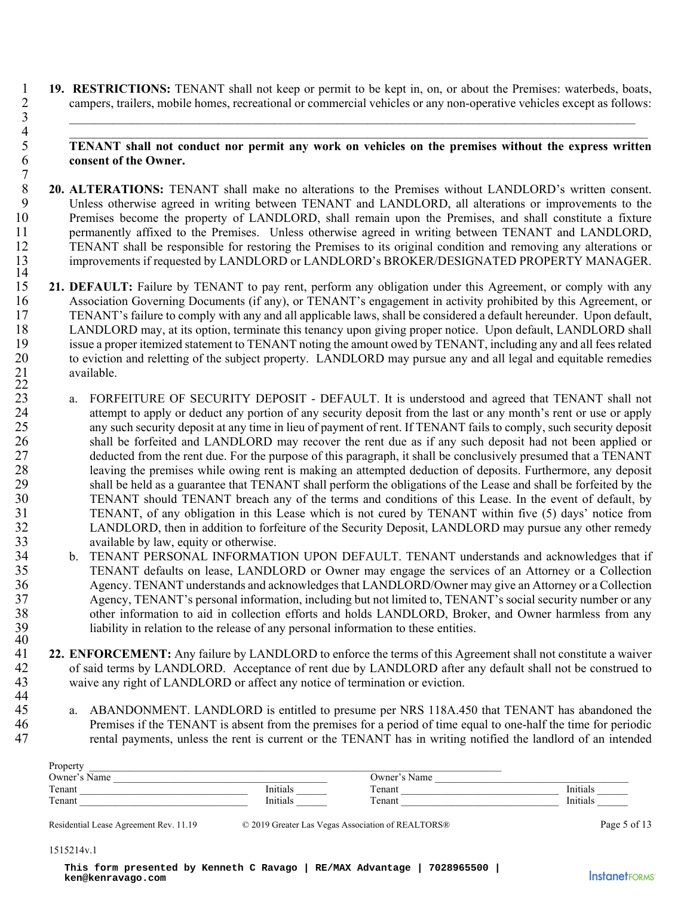1 **19. RESTRICTIONS:** TENANT shall not keep or permit to be kept in, on, or about the Premises: waterbeds, boats, campers, trailers, mobile homes, recreational or commercial vehicles or any non-operative vehicles except as 2 campers, trailers, mobile homes, recreational or commercial vehicles or any non-operative vehicles except as follows:

3  $4$ 

#### 5 **TENANT shall not conduct nor permit any work on vehicles on the premises without the express written**  6 **consent of the Owner.**

- $7 \over 8$ **20. ALTERATIONS:** TENANT shall make no alterations to the Premises without LANDLORD's written consent.<br>9 Unless otherwise agreed in writing between TENANT and LANDLORD, all alterations or improvements to the Unless otherwise agreed in writing between TENANT and LANDLORD, all alterations or improvements to the 10 Premises become the property of LANDLORD, shall remain upon the Premises, and shall constitute a fixture 11 permanently affixed to the Premises. Unless otherwise agreed in writing between TENANT and LANDLORD, 12 TENANT shall be responsible for restoring the Premises to its original condition and removing any alterations or 13 improvements if requested by LANDLORD or LANDLORD's BROKER/DESIGNATED PROPERTY MANAGER.
- $\frac{14}{15}$ 21. DEFAULT: Failure by TENANT to pay rent, perform any obligation under this Agreement, or comply with any 16 Association Governing Documents (if any), or TENANT's engagement in activity prohibited by this Agreement, or 17 TENANT's failure to comply with any and all applicable laws, shall be considered a default hereunder. Upon default, 18 LANDLORD may, at its option, terminate this tenancy upon giving proper notice. Upon default, LANDLORD shall<br>19 issue a proper itemized statement to TENANT noting the amount owed by TENANT, including any and all fees rel 19 issue a proper itemized statement to TENANT noting the amount owed by TENANT, including any and all fees related<br>20 to eviction and reletting of the subject property. LANDLORD may pursue any and all legal and equitable 20 to eviction and reletting of the subject property. LANDLORD may pursue any and all legal and equitable remedies 21 available.  $\frac{22}{23}$
- a. FORFEITURE OF SECURITY DEPOSIT DEFAULT. It is understood and agreed that TENANT shall not 24 attempt to apply or deduct any portion of any security deposit from the last or any month's rent or use or apply 25 any such security deposit at any time in lieu of payment of rent. If TENANT fails to comply, such security deposit 26 shall be forfeited and LANDLORD may recover the rent due as if any such deposit had not been applied or 27 deducted from the rent due. For the purpose of this paragraph, it shall be conclusively presumed that a TENANT 28 leaving the premises while owing rent is making an attempted deduction of deposits. Furthermore, any deposit 29 shall be held as a guarantee that TENANT shall perform the obligations of the Lease and shall be forfeited by the 30 TENANT should TENANT breach any of the terms and conditions of this Lease. In the event of default, by 31 TENANT, of any obligation in this Lease which is not cured by TENANT within five (5) days' notice from 32 LANDLORD, then in addition to forfeiture of the Security Deposit, LANDLORD may pursue any other remedy 33 available by law, equity or otherwise.
- 34 b. TENANT PERSONAL INFORMATION UPON DEFAULT. TENANT understands and acknowledges that if 35 TENANT defaults on lease, LANDLORD or Owner may engage the services of an Attorney or a Collection 36 Agency. TENANT understands and acknowledges that LANDLORD/Owner may give an Attorney or a Collection 37 Agency, TENANT's personal information, including but not limited to, TENANT's social security number or any 38 other information to aid in collection efforts and holds LANDLORD, Broker, and Owner harmless from any liability in relation to the release of any personal information to these entities. liability in relation to the release of any personal information to these entities.
- $\frac{40}{41}$ **22. ENFORCEMENT:** Any failure by LANDLORD to enforce the terms of this Agreement shall not constitute a waiver<br>of said terms by LANDLORD. Acceptance of rent due by LANDLORD after any default shall not be construed to 42 of said terms by LANDLORD. Acceptance of rent due by LANDLORD after any default shall not be construed to 43 waive any right of LANDLORD or affect any notice of termination or eviction. 44<br>45
- a. ABANDONMENT. LANDLORD is entitled to presume per NRS 118A.450 that TENANT has abandoned the 46 Premises if the TENANT is absent from the premises for a period of time equal to one-half the time for periodic 47 rental payments, unless the rent is current or the TENANT has in writing notified the landlord of an intended

| Property                           |                 |                                         |          |
|------------------------------------|-----------------|-----------------------------------------|----------|
| $\mathbf{r}$<br>$O$ wner'.<br>Name |                 | $\lambda$ ( ) wner <sup>2</sup><br>Name |          |
| Tenant                             | <b>Initials</b> | m.<br>enant                             | Initials |
| Tenant                             | Initials        | $T$ enant                               | Initials |

Residential Lease Agreement Rev. 11.19  $\degree$  2019 Greater Las Vegas Association of REALTORS® Page 5 of 13

#### 1515214v.1

**This form presented by Kenneth C Ravago | RE/MAX Advantage | 7028965500 | ken@kenravago.com**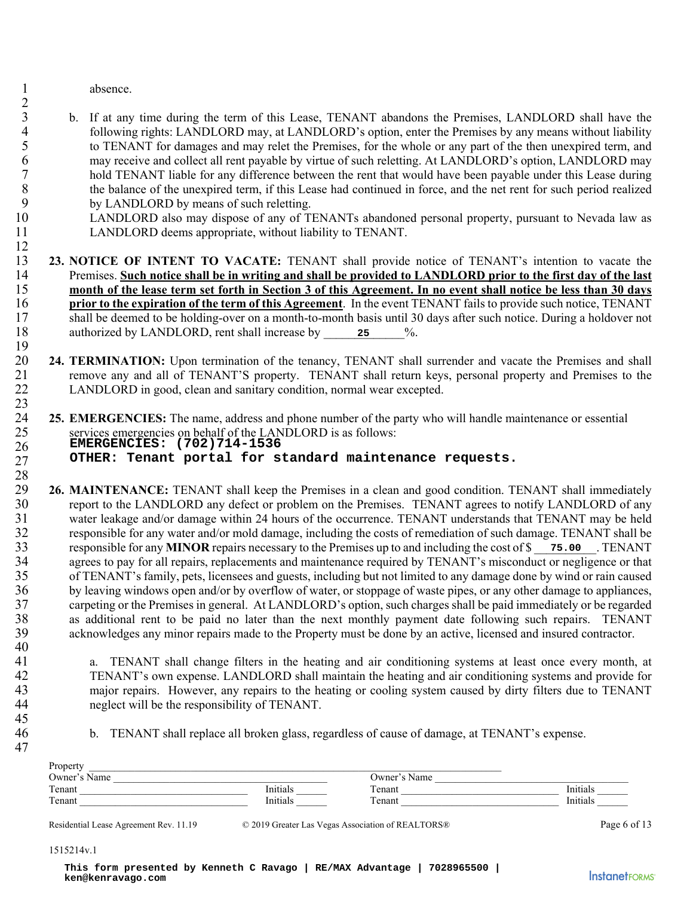1 absence.

 $\mathfrak{D}$ 

12

23

40

45

47

- 3 b. If at any time during the term of this Lease, TENANT abandons the Premises, LANDLORD shall have the 4 following rights: LANDLORD may, at LANDLORD's option, enter the Premises by any means without liability<br>5 to TENANT for damages and may relet the Premises, for the whole or any part of the then unexpired term, and 5 to TENANT for damages and may relet the Premises, for the whole or any part of the then unexpired term, and 6 may receive and collect all rent payable by virtue of such reletting. At LANDLORD's option, LANDLORD may<br>hold TENANT liable for any difference between the rent that would have been payable under this Lease during hold TENANT liable for any difference between the rent that would have been payable under this Lease during 8 the balance of the unexpired term, if this Lease had continued in force, and the net rent for such period realized<br>9 by LANDLORD by means of such reletting by LANDLORD by means of such reletting.
- 10 LANDLORD also may dispose of any of TENANTs abandoned personal property, pursuant to Nevada law as 11 LANDLORD deems appropriate, without liability to TENANT.

**23. NOTICE OF INTENT TO VACATE:** TENANT shall provide notice of TENANT's intention to vacate the Premises. Such notice shall be in writing and shall be provided to LANDLORD prior to the first day of the last 14 Premises. **Such notice shall be in writing and shall be provided to LANDLORD prior to the first day of the last**  15 **month of the lease term set forth in Section 3 of this Agreement. In no event shall notice be less than 30 days**  16 **prior to the expiration of the term of this Agreement**. In the event TENANT fails to provide such notice, TENANT 17 shall be deemed to be holding-over on a month-to-month basis until 30 days after such notice. During a holdover not 18 authorized by LANDLORD, rent shall increase by 25  $\%$ . 19

- 20 **24. TERMINATION:** Upon termination of the tenancy, TENANT shall surrender and vacate the Premises and shall remove any and all of TENANT'S property. TENANT shall return keys, personal property and Premises to the 21 remove any and all of TENANT'S property. TENANT shall return keys, personal property and Premises to the 22 LANDLORD in good, clean and sanitary condition, normal wear excepted.
- 25. **EMERGENCIES:** The name, address and phone number of the party who will handle maintenance or essential<br>25 services emergencies on behalf of the LANDLORD is as follows: services emergencies on behalf of the LANDLORD is as follows: 26 27 **EMERGENCIES: (702)714-1536 OTHER: Tenant portal for standard maintenance requests.**

28 29 **26. MAINTENANCE:** TENANT shall keep the Premises in a clean and good condition. TENANT shall immediately 30 report to the LANDLORD any defect or problem on the Premises. TENANT agrees to notify LANDLORD of any 31 water leakage and/or damage within 24 hours of the occurrence. TENANT understands that TENANT may be held<br>32 responsible for any water and/or mold damage including the costs of remediation of such damage. TENANT shall b 32 responsible for any water and/or mold damage, including the costs of remediation of such damage. TENANT shall be 33 responsible for any **MINOR** repairs necessary to the Premises up to and including the cost of \$ \_\_\_\_\_\_\_\_\_\_. TENANT **75.00**34 agrees to pay for all repairs, replacements and maintenance required by TENANT's misconduct or negligence or that<br>35 of TENANT's family, pets, licensees and guests, including but not limited to any damage done by wind o 35 of TENANT's family, pets, licensees and guests, including but not limited to any damage done by wind or rain caused 36 by leaving windows open and/or by overflow of water, or stoppage of waste pipes, or any other damage to appliances, 37 carpeting or the Premises in general. At LANDLORD's option, such charges shall be paid immediately or be regarded 38 as additional rent to be paid no later than the next monthly payment date following such repairs. TENANT 39 acknowledges any minor repairs made to the Property must be done by an active, licensed and insured contractor. authorized by LANDLORD, rent shall increase by<br> **EERMINATION:** Upon termination of the tenancy, TEN<br>
renove any and all of TENANT'S property. TENANT si<br>
LANDLORD in good, CENANT'S property. TENANT si<br> **EMERGENCIES:** The na

41 a. TENANT shall change filters in the heating and air conditioning systems at least once every month, at 42 TENANT's own expense. LANDLORD shall maintain the heating and air conditioning systems and provide for 43 major repairs. However, any repairs to the heating or cooling system caused by dirty filters due to TENANT<br>44 meglect will be the responsibility of TENANT. neglect will be the responsibility of TENANT.

46 b. TENANT shall replace all broken glass, regardless of cause of damage, at TENANT's expense.

| Property                |                   |              |          |
|-------------------------|-------------------|--------------|----------|
| $\cdot$ Name<br>Owner's |                   | Owner's Name |          |
| Tenant                  | - - -<br>lnıtıals | Tenant       | Initials |
| Tenant                  | Initials          | Tenant       | Initials |

Residential Lease Agreement Rev. 11.19  $\degree$  2019 Greater Las Vegas Association of REALTORS® Page 6 of 13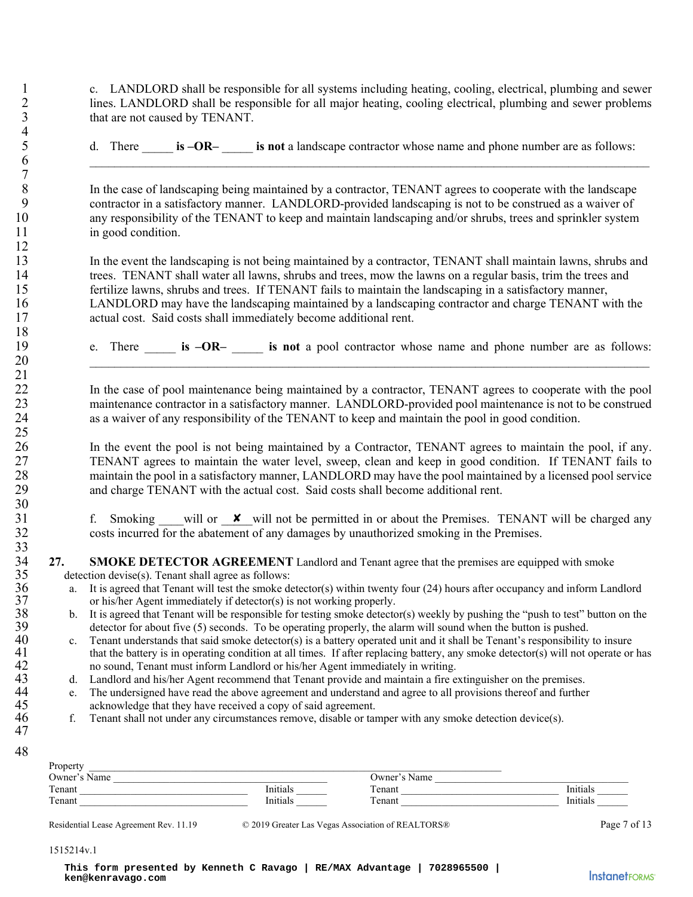1 c. LANDLORD shall be responsible for all systems including heating, cooling, electrical, plumbing and sewer 2 lines. LANDLORD shall be responsible for all major heating, cooling electrical, plumbing and sewer problems that are not caused by TENANT. that are not caused by TENANT.

5 d. There \_\_\_\_\_ **is –OR–** \_\_\_\_\_ **is not** a landscape contractor whose name and phone number are as follows:

6 \_\_\_\_\_\_\_\_\_\_\_\_\_\_\_\_\_\_\_\_\_\_\_\_\_\_\_\_\_\_\_\_\_\_\_\_\_\_\_\_\_\_\_\_\_\_\_\_\_\_\_\_\_\_\_\_\_\_\_\_\_\_\_\_\_\_\_\_\_\_\_\_\_\_\_\_\_\_\_\_\_\_\_\_\_\_\_\_\_\_

8 In the case of landscaping being maintained by a contractor, TENANT agrees to cooperate with the landscape<br>9 contractor in a satisfactory manner. LANDLORD-provided landscaping is not to be construed as a waiver of 9 contractor in a satisfactory manner. LANDLORD-provided landscaping is not to be construed as a waiver of 10 any responsibility of the TENANT to keep and maintain landscaping and/or shrubs, trees and sprinkler system 11 in good condition.

13 In the event the landscaping is not being maintained by a contractor, TENANT shall maintain lawns, shrubs and 14 trees. TENANT shall water all lawns, shrubs and trees, mow the lawns on a regular basis, trim the trees and 15 fertilize lawns, shrubs and trees. If TENANT fails to maintain the landscaping in a satisfactory manner, 16 LANDLORD may have the landscaping maintained by a landscaping contractor and charge TENANT with the 17 actual cost. Said costs shall immediately become additional rent.

19 e. There \_\_\_\_\_ **is –OR–** \_\_\_\_\_ **is not** a pool contractor whose name and phone number are as follows:

 $20$ 

22 In the case of pool maintenance being maintained by a contractor, TENANT agrees to cooperate with the pool 23 maintenance contractor in a satisfactory manner. LANDLORD-provided pool maintenance is not to be construed 24 as a waiver of any responsibility of the TENANT to keep and maintain the pool in good condition.

26 10 In the event the pool is not being maintained by a Contractor, TENANT agrees to maintain the pool, if any.<br>27 TENANT agrees to maintain the water level, sweep, clean and keep in good condition. If TENANT fails to TENANT agrees to maintain the water level, sweep, clean and keep in good condition. If TENANT fails to 28 maintain the pool in a satisfactory manner, LANDLORD may have the pool maintained by a licensed pool service 29 and charge TENANT with the actual cost. Said costs shall become additional rent.

31 f. Smoking will or  $\boldsymbol{\times}$  will not be permitted in or about the Premises. TENANT will be charged any 32 costs incurred for the abatement of any damages by unauthorized smoking in the Premises.

- **27.** SMOKE DETECTOR AGREEMENT Landlord and Tenant agree that the premises are equipped with smoke detection devise(s). Tenant shall agree as follows:
	-
- 35 detection devise(s). Tenant shall agree as follows:<br>36 a. It is agreed that Tenant will test the smoke do or his/her Agent immediately if detector(s) is a. It is agreed that Tenant will test the smoke detector(s) within twenty four (24) hours after occupancy and inform Landlord 37 or his/her Agent immediately if detector(s) is not working properly.<br>38 b. It is agreed that Tenant will be responsible for testing smoke detector
- 38 b. It is agreed that Tenant will be responsible for testing smoke detector(s) weekly by pushing the "push to test" button on the detector for about five (5) seconds. To be operating properly, the alarm will sound when t 39 detector for about five (5) seconds. To be operating properly, the alarm will sound when the button is pushed.<br>40 c. Tenant understands that said smoke detector(s) is a battery operated unit and it shall be Tenant's res

40 c. Tenant understands that said smoke detector(s) is a battery operated unit and it shall be Tenant's responsibility to insure that the battery is in operating condition at all times. If after replacing battery, any smo 41 that the battery is in operating condition at all times. If after replacing battery, any smoke detector(s) will not operate or has no sound, Tenant must inform Landlord or his/her Agent immediately in writing. 42 no sound, Tenant must inform Landlord or his/her Agent immediately in writing.<br>43 d. Landlord and his/her Agent recommend that Tenant provide and maintain a fire e

43 d. Landlord and his/her Agent recommend that Tenant provide and maintain a fire extinguisher on the premises.<br>44 e. The undersigned have read the above agreement and understand and agree to all provisions thereof and fu

- 44 e. The undersigned have read the above agreement and understand and agree to all provisions thereof and further acknowledge that they have received a copy of said agreement. 45 acknowledge that they have received a copy of said agreement.<br>46 f. Tenant shall not under any circumstances remove, disable or tar
	- 46 f. Tenant shall not under any circumstances remove, disable or tamper with any smoke detection device(s).

47 48

 $\frac{4}{5}$ 

7

12

18

21

25

30

33<br>34

|                |                                                                                |          | f. Smoking will or $\cdot$ will not be permitted in or about the Premises. TENANT will be charged a<br>costs incurred for the abatement of any damages by unauthorized smoking in the Premises. |                   |
|----------------|--------------------------------------------------------------------------------|----------|-------------------------------------------------------------------------------------------------------------------------------------------------------------------------------------------------|-------------------|
|                |                                                                                |          |                                                                                                                                                                                                 |                   |
| 27.            |                                                                                |          | <b>SMOKE DETECTOR AGREEMENT</b> Landlord and Tenant agree that the premises are equipped with smoke                                                                                             |                   |
|                | detection devise(s). Tenant shall agree as follows:                            |          |                                                                                                                                                                                                 |                   |
| a.             |                                                                                |          | It is agreed that Tenant will test the smoke detector(s) within twenty four (24) hours after occupancy and inform Landloro                                                                      |                   |
|                | or his/her Agent immediately if detector(s) is not working properly.           |          |                                                                                                                                                                                                 |                   |
| $\mathbf{b}$ . |                                                                                |          | It is agreed that Tenant will be responsible for testing smoke detector(s) weekly by pushing the "push to test" button on the                                                                   |                   |
|                |                                                                                |          | detector for about five (5) seconds. To be operating properly, the alarm will sound when the button is pushed.                                                                                  |                   |
| $c_{\cdot}$    |                                                                                |          | Tenant understands that said smoke detector(s) is a battery operated unit and it shall be Tenant's responsibility to insure                                                                     |                   |
|                |                                                                                |          | that the battery is in operating condition at all times. If after replacing battery, any smoke detector(s) will not operate or l                                                                |                   |
|                | no sound, Tenant must inform Landlord or his/her Agent immediately in writing. |          |                                                                                                                                                                                                 |                   |
| d.             |                                                                                |          | Landlord and his/her Agent recommend that Tenant provide and maintain a fire extinguisher on the premises.                                                                                      |                   |
| e.             |                                                                                |          | The undersigned have read the above agreement and understand and agree to all provisions thereof and further                                                                                    |                   |
|                | acknowledge that they have received a copy of said agreement.                  |          |                                                                                                                                                                                                 |                   |
| f.             |                                                                                |          | Tenant shall not under any circumstances remove, disable or tamper with any smoke detection device(s).                                                                                          |                   |
|                |                                                                                |          |                                                                                                                                                                                                 |                   |
|                |                                                                                |          |                                                                                                                                                                                                 |                   |
| Property       |                                                                                |          |                                                                                                                                                                                                 |                   |
|                | Owner's Name                                                                   |          |                                                                                                                                                                                                 |                   |
|                | Tenant                                                                         | Initials | Owner's Name                                                                                                                                                                                    | Initials          |
|                | Tenant                                                                         | Initials | Tenant                                                                                                                                                                                          | Initials          |
|                | Residential Lease Agreement Rev. 11.19                                         |          | © 2019 Greater Las Vegas Association of REALTORS®                                                                                                                                               | Page 7 of         |
| 1515214v.1     |                                                                                |          |                                                                                                                                                                                                 |                   |
|                | ken@kenravago.com                                                              |          | This form presented by Kenneth C Ravago   RE/MAX Advantage   7028965500                                                                                                                         | <b>InstanetFo</b> |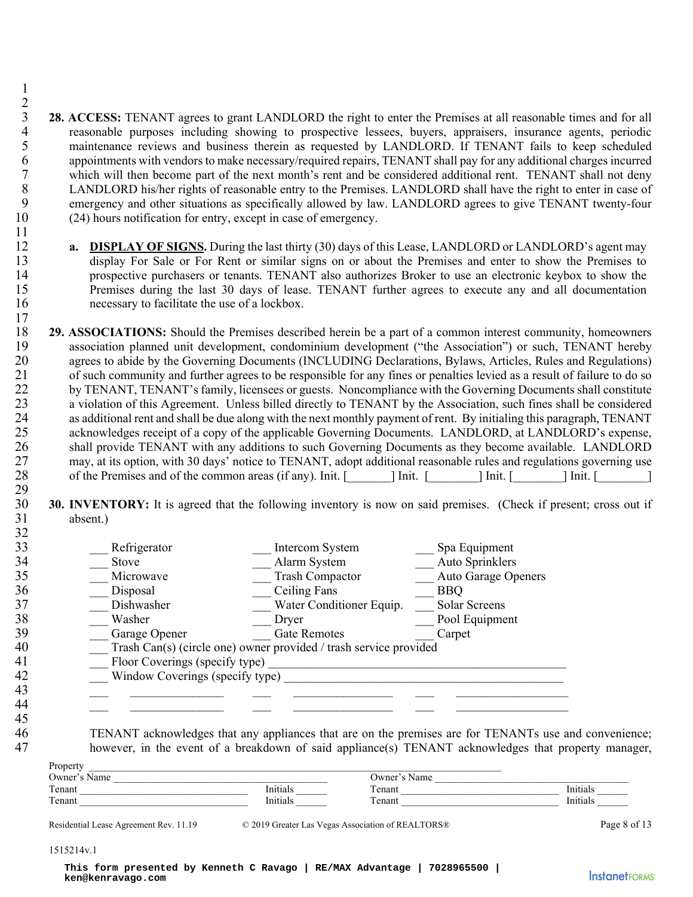- $\frac{2}{3}$ 28. ACCESS: TENANT agrees to grant LANDLORD the right to enter the Premises at all reasonable times and for all<br>4 reasonable purposes including showing to prospective lessees, buyers, appraisers, insurance agents, periodic 4 reasonable purposes including showing to prospective lessees, buyers, appraisers, insurance agents, periodic<br>5 maintenance reviews and business therein as requested by LANDLORD. If TENANT fails to keep scheduled maintenance reviews and business therein as requested by LANDLORD. If TENANT fails to keep scheduled 6 appointments with vendors to make necessary/required repairs, TENANT shall pay for any additional charges incurred<br>7 which will then become part of the next month's rent and be considered additional rent. TENANT shall no 7 which will then become part of the next month's rent and be considered additional rent. TENANT shall not deny<br>8 LANDLORD his/her rights of reasonable entry to the Premises. LANDLORD shall have the right to enter in case 8 LANDLORD his/her rights of reasonable entry to the Premises. LANDLORD shall have the right to enter in case of emergency and other situations as specifically allowed by law. LANDLORD agrees to give TENANT twenty-four emergency and other situations as specifically allowed by law. LANDLORD agrees to give TENANT twenty-four 10 (24) hours notification for entry, except in case of emergency.
- 12 **a. DISPLAY OF SIGNS.** During the last thirty (30) days of this Lease, LANDLORD or LANDLORD's agent may 13 display For Sale or For Rent or similar signs on or about the Premises and enter to show the Premises to 14 prospective purchasers or tenants. TENANT also authorizes Broker to use an electronic keybox to show the 15 Premises during the last 30 days of lease. TENANT further agrees to execute any and all documentation 16 necessary to facilitate the use of a lockbox.
- **29. ASSOCIATIONS:** Should the Premises described herein be a part of a common interest community, homeowners association planned unit development, condominium development ("the Association") or such. TENANT hereby association planned unit development, condominium development ("the Association") or such, TENANT hereby 20 agrees to abide by the Governing Documents (INCLUDING Declarations, Bylaws, Articles, Rules and Regulations)<br>21 of such community and further agrees to be responsible for any fines or penalties levied as a result of fai 21 of such community and further agrees to be responsible for any fines or penalties levied as a result of failure to do so 22 by TENANT, TENANT's family, licensees or guests. Noncompliance with the Governing Documents shall constitute 23 a violation of this Agreement. Unless billed directly to TENANT by the Association, such fines shall be considered 24 as additional rent and shall be due along with the next monthly payment of rent. By initialing this paragraph, TENANT<br>25 acknowledges receipt of a copy of the applicable Governing Documents. LANDLORD, at LANDLORD's expe 25 acknowledges receipt of a copy of the applicable Governing Documents. LANDLORD, at LANDLORD's expense, 26 shall provide TENANT with any additions to such Governing Documents as they become available. LANDLORD<br>27 may, at its option, with 30 days' notice to TENANT, adopt additional reasonable rules and regulations governing u may, at its option, with 30 days' notice to TENANT, adopt additional reasonable rules and regulations governing use 28 of the Premises and of the common areas (if any). Init. [ ] Init. [ ] Init. [ ] Init. [ ] ] 29
- 30 **30. INVENTORY:** It is agreed that the following inventory is now on said premises. (Check if present; cross out if 31 absent.) 32

| 33 | Refrigerator                    | Intercom System                                                   | Spa Equipment       |
|----|---------------------------------|-------------------------------------------------------------------|---------------------|
| 34 | Stove                           | Alarm System                                                      | Auto Sprinklers     |
| 35 | Microwave                       | <b>Trash Compactor</b>                                            | Auto Garage Openers |
| 36 | Disposal                        | Ceiling Fans                                                      | <b>BBQ</b>          |
| 37 | Dishwasher                      | Water Conditioner Equip.                                          | Solar Screens       |
| 38 | Washer                          | Dryer                                                             | Pool Equipment      |
| 39 | Garage Opener                   | <b>Gate Remotes</b>                                               | Carpet              |
| 40 |                                 | Trash Can(s) (circle one) owner provided / trash service provided |                     |
| 41 | Floor Coverings (specify type)  |                                                                   |                     |
| 42 | Window Coverings (specify type) |                                                                   |                     |
| 43 |                                 |                                                                   |                     |
| 44 |                                 |                                                                   |                     |
| 45 |                                 |                                                                   |                     |

1

11

17

46 TENANT acknowledges that any appliances that are on the premises are for TENANTs use and convenience;<br>47 however in the event of a breakdown of said appliance(s) TENANT acknowledges that property manager however, in the event of a breakdown of said appliance(s) TENANT acknowledges that property manager,

| Property |  |
|----------|--|
|          |  |

| Property     |          |              |                          |
|--------------|----------|--------------|--------------------------|
| Owner's Name |          | Jwner's Name |                          |
| Tenant       | nitials  | enant        | Initials                 |
| Tenant       | 'nitials | `enant       | $   +$ $  -$<br>lnıtıals |

Residential Lease Agreement Rev. 11.19  $\degree$  2019 Greater Las Vegas Association of REALTORS® Page 8 of 13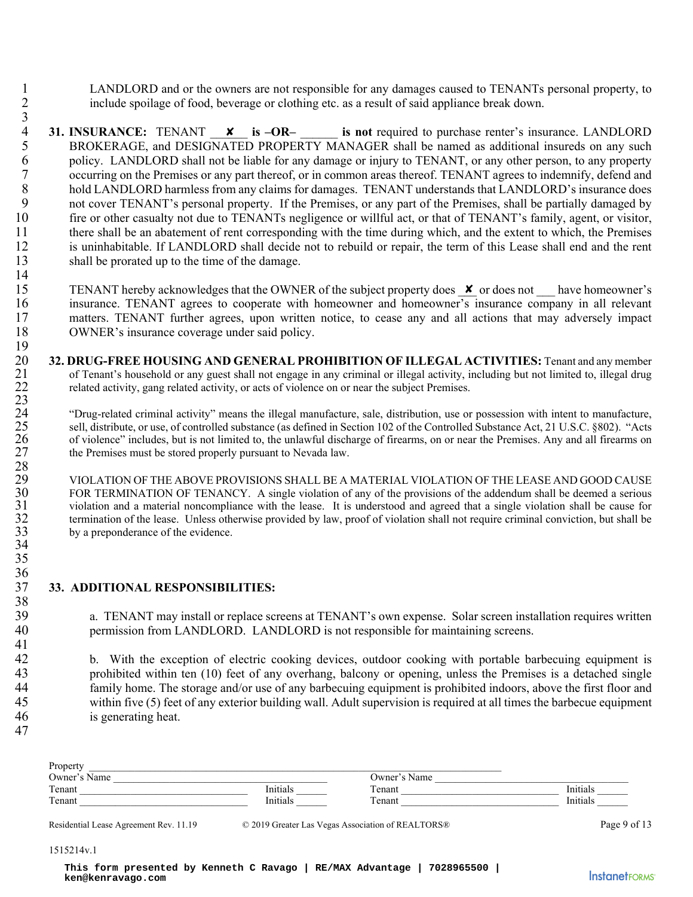1 LANDLORD and or the owners are not responsible for any damages caused to TENANTs personal property, to 2 include spoilage of food, beverage or clothing etc. as a result of said appliance break down.

- $\frac{3}{4}$ **31. INSURANCE:** TENANT **x** is  $-OR$  is not required to purchase renter's insurance. LANDLORD<br>**BROKERAGE, and DESIGNATED PROPERTY MANAGER** shall be named as additional insureds on any such 5 BROKERAGE, and DESIGNATED PROPERTY MANAGER shall be named as additional insureds on any such 6 policy. LANDLORD shall not be liable for any damage or injury to TENANT, or any other person, to any property<br>7 occurring on the Premises or any part thereof, or in common areas thereof. TENANT agrees to indemnify, defen occurring on the Premises or any part thereof, or in common areas thereof. TENANT agrees to indemnify, defend and 8 hold LANDLORD harmless from any claims for damages. TENANT understands that LANDLORD's insurance does<br>9 not cover TENANT's personal property. If the Premises, or any part of the Premises, shall be partially damaged by not cover TENANT's personal property. If the Premises, or any part of the Premises, shall be partially damaged by 10 fire or other casualty not due to TENANTs negligence or willful act, or that of TENANT's family, agent, or visitor, 11 there shall be an abatement of rent corresponding with the time during which, and the extent to which, the Premises 12 is uninhabitable. If LANDLORD shall decide not to rebuild or repair, the term of this Lease shall end and the rent 13 shall be prorated up to the time of the damage. 14 **ENOKERAGE:** TENANT **ENOKERAGE:** TENANT AND DONCERAGE, and DESIGNAT<br>policy. LANDLORD shall not becoming on the Premises or any hold LANDLORD harmless from or over TENANT's personal port for other cosmally positive from for
- 15 TENANT hereby acknowledges that the OWNER of the subject property does  $\bm{x}$  or does not have homeowner's 16 insurance. TENANT agrees to cooperate with homeowner and homeowner's insurance company in all relevant 17 matters. TENANT further agrees, upon written notice, to cease any and all actions that may adversely impact 18 OWNER's insurance coverage under said policy.
- 20 **32. DRUG-FREE HOUSING AND GENERAL PROHIBITION OF ILLEGAL ACTIVITIES:** Tenant and any member<br>21 of Tenant's household or any guest shall not engage in any criminal or illegal activity, including but not limited to, ille 21 of Tenant's household or any guest shall not engage in any criminal or illegal activity, including but not limited to, illegal drug related activity, gang related activity, or acts of violence on or near the subject Pre related activity, gang related activity, or acts of violence on or near the subject Premises. 23

<sup>24</sup> "Drug-related criminal activity" means the illegal manufacture, sale, distribution, use or possession with intent to manufacture,<br><sup>25</sup> sell, distribute, or use, of controlled substance (as defined in Section 102 of th 25 sell, distribute, or use, of controlled substance (as defined in Section 102 of the Controlled Substance Act, 21 U.S.C. §802). "Acts 26 of violence" includes, but is not limited to, the unlawful discharge of firearms, on or near the Premises. Any and all firearms on the Premises must be stored properly pursuant to Nevada law. the Premises must be stored properly pursuant to Nevada law.

29 VIOLATION OF THE ABOVE PROVISIONS SHALL BE A MATERIAL VIOLATION OF THE LEASE AND GOOD CAUSE<br>30 FOR TERMINATION OF TENANCY. A single violation of any of the provisions of the addendum shall be deemed a serious 30 FOR TERMINATION OF TENANCY. A single violation of any of the provisions of the addendum shall be deemed a serious<br>31 violation and a material noncompliance with the lease. It is understood and agreed that a single viola 31 violation and a material noncompliance with the lease. It is understood and agreed that a single violation shall be cause for 32 termination of the lease. Unless otherwise provided by law, proof of violation shall not require criminal conviction, but shall be by a preponderance of the evidence. by a preponderance of the evidence.

### 36<br>37 37 **33. ADDITIONAL RESPONSIBILITIES:**

39 a. TENANT may install or replace screens at TENANT's own expense. Solar screen installation requires written<br>40 energission from LANDLORD. LANDLORD is not responsible for maintaining screens. permission from LANDLORD. LANDLORD is not responsible for maintaining screens.

42 b. With the exception of electric cooking devices, outdoor cooking with portable barbecuing equipment is 43 prohibited within ten (10) feet of any overhang, balcony or opening, unless the Premises is a detached single<br>44 family home. The storage and/or use of any barbecuing equipment is prohibited indoors, above the first flo 44 family home. The storage and/or use of any barbecuing equipment is prohibited indoors, above the first floor and<br>45 within five (5) feet of any exterior building wall. Adult supervision is required at all times the barb within five (5) feet of any exterior building wall. Adult supervision is required at all times the barbecue equipment 46 is generating heat.

| I |  |
|---|--|
|---|--|

19

28

34 35

38

41

| Property        |                      |                       |                 |
|-----------------|----------------------|-----------------------|-----------------|
| Owner's<br>Name |                      | <b>)</b> wner<br>Name |                 |
| Tenant          | <sup>I</sup> nitials | Tenant                | Initials        |
| Tenant          | <b>Initials</b>      | $T$ enant             | <b>Initials</b> |

Residential Lease Agreement Rev. 11.19  $\degree$  2019 Greater Las Vegas Association of REALTORS® Page 9 of 13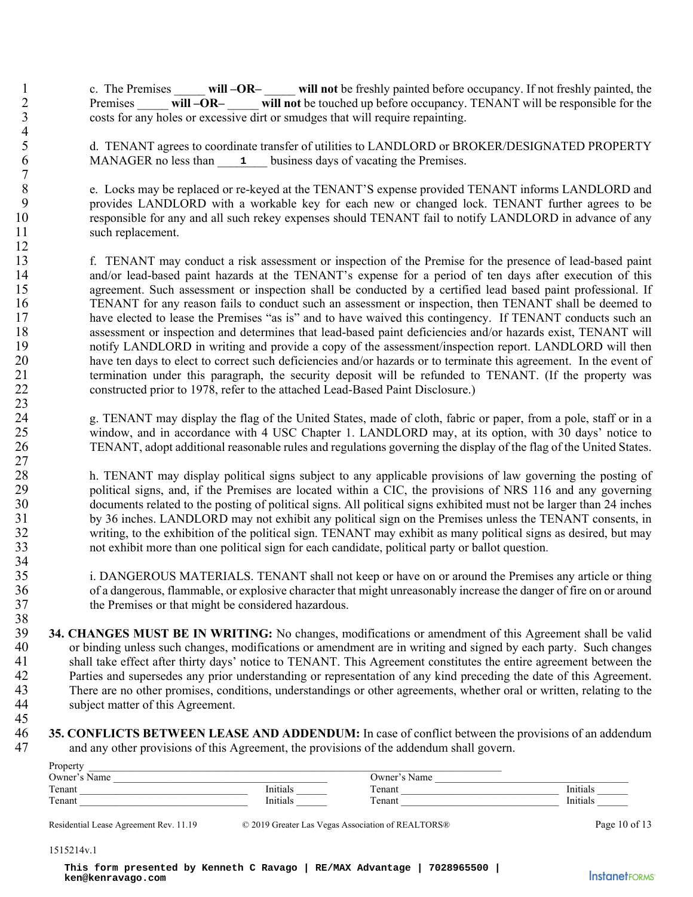| c. The Premises | will –OR– | will not be freshly painted before occupancy. If not freshly painted, the      |
|-----------------|-----------|--------------------------------------------------------------------------------|
| Premises        | will –OR– | will not be touched up before occupancy. TENANT will be responsible for the    |
|                 |           | costs for any holes or excessive dirt or smudges that will require repainting. |

d. TENANT agrees to coordinate transfer of utilities to LANDLORD or BROKER/DESIGNATED PROPERTY 6 MANAGER no less than 1 business days of vacating the Premises.

8 e. Locks may be replaced or re-keyed at the TENANT'S expense provided TENANT informs LANDLORD and<br>9 original provides LANDLORD with a workable key for each new or changed lock. TENANT further agrees to be 9 provides LANDLORD with a workable key for each new or changed lock. TENANT further agrees to be 10 responsible for any and all such rekey expenses should TENANT fail to notify LANDLORD in advance of any 11 such replacement.

13 f. TENANT may conduct a risk assessment or inspection of the Premise for the presence of lead-based paint 14 and/or lead-based paint hazards at the TENANT's expense for a period of ten days after execution of this 15 agreement. Such assessment or inspection shall be conducted by a certified lead based paint professional. If 16 TENANT for any reason fails to conduct such an assessment or inspection, then TENANT shall be deemed to 17 have elected to lease the Premises "as is" and to have waived this contingency. If TENANT conducts such an 18 assessment or inspection and determines that lead-based paint deficiencies and/or hazards exist, TENANT will 19 notify LANDLORD in writing and provide a copy of the assessment/inspection report. LANDLORD will then 20 have ten days to elect to correct such deficiencies and/or hazards or to terminate this agreement. In the event of 21 termination under this paragraph, the security deposit will be refunded to TENANT. (If the property was 22 constructed prior to 1978, refer to the attached Lead-Based Paint Disclosure.) MANAGER no less than 1<br>
c. Locks may be replaced or re<br>
provides LANDLORD with a<br>
responsible for any and all sucl<br>
such replacement.<br>
f. TENANT may conduct a rad<br>
and/or lead-based paint hazar<br>
argreement. Such assessment

24 g. TENANT may display the flag of the United States, made of cloth, fabric or paper, from a pole, staff or in a 25 window, and in accordance with 4 USC Chapter 1. LANDLORD may, at its option, with 30 days' notice to 26 TENANT, adopt additional reasonable rules and regulations governing the display of the flag of the United States.

28 h. TENANT may display political signs subject to any applicable provisions of law governing the posting of political signs, and, if the Premises are located within a CIC, the provisions of NRS 116 and any governing 29 political signs, and, if the Premises are located within a CIC, the provisions of NRS 116 and any governing 30 documents related to the posting of political signs. All political signs exhibited must not be larger than 24 inches 31 by 36 inches. LANDLORD may not exhibit any political sign on the Premises unless the TENANT consents, in 32 writing, to the exhibition of the political sign. TENANT may exhibit as many political signs as desired, but may 33 not exhibit more than one political sign for each candidate, political party or ballot question.

35 i. DANGEROUS MATERIALS. TENANT shall not keep or have on or around the Premises any article or thing 36 of a dangerous, flammable, or explosive character that might unreasonably increase the danger of fire on or around 37 the Premises or that might be considered hazardous.

38<br>39 39 **34. CHANGES MUST BE IN WRITING:** No changes, modifications or amendment of this Agreement shall be valid 40 or binding unless such changes, modifications or amendment are in writing and signed by each party. Such changes 41 shall take effect after thirty days' notice to TENANT. This Agreement constitutes the entire agreement between the<br>42 Parties and supersedes any prior understanding or representation of any kind preceding the date of th Parties and supersedes any prior understanding or representation of any kind preceding the date of this Agreement. 43 There are no other promises, conditions, understandings or other agreements, whether oral or written, relating to the subject matter of this Agreement. subject matter of this Agreement.

45

 $\frac{4}{5}$ 

 $7 \over 8$ 

12

23

27

34

**35. CONFLICTS BETWEEN LEASE AND ADDENDUM:** In case of conflict between the provisions of an addendum and any other provisions of this Agreement, the provisions of the addendum shall govern. and any other provisions of this Agreement, the provisions of the addendum shall govern.

| Property       |                  |                       |          |
|----------------|------------------|-----------------------|----------|
| .)wner<br>Name |                  | Jwner<br>Name         |          |
| Tenant         | $ -$<br>'nitials | $\sim$<br>renant      | Initials |
| Tenant         | $ -$<br>ппиаіз   | $\mathbf{r}$<br>enant | Initials |

Residential Lease Agreement Rev. 11.19 © 2019 Greater Las Vegas Association of REALTORS® Page 10 of 13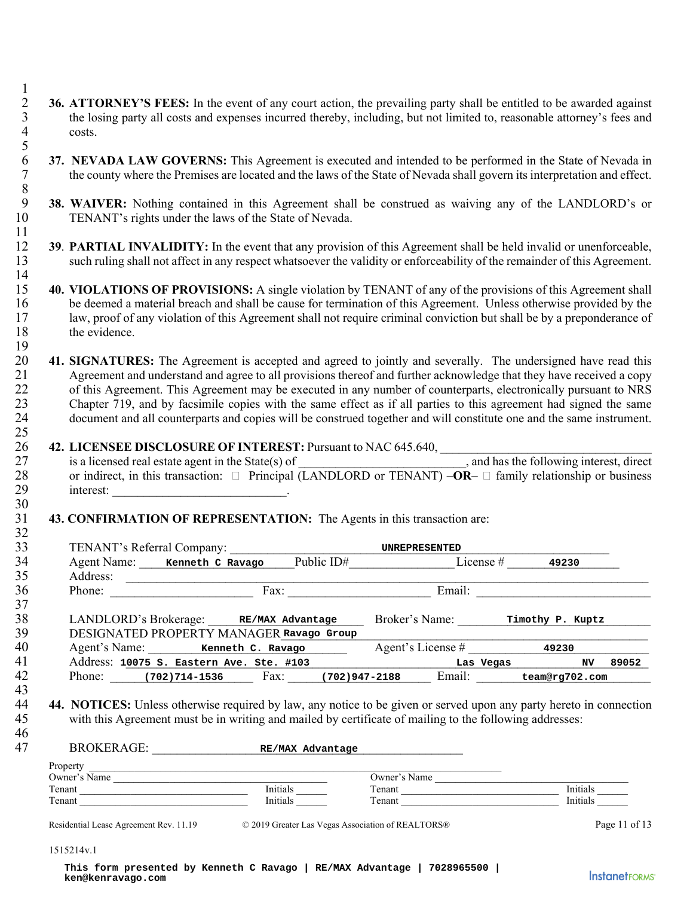- 2 **36. ATTORNEY'S FEES:** In the event of any court action, the prevailing party shall be entitled to be awarded against the losing party all costs and expenses incurred thereby, including, but not limited to, reasonable 3 the losing party all costs and expenses incurred thereby, including, but not limited to, reasonable attorney's fees and costs. costs. 5
- **37. NEVADA LAW GOVERNS:** This Agreement is executed and intended to be performed in the State of Nevada in the county where the Premises are located and the laws of the State of Nevada shall govern its interpretation and 7 the county where the Premises are located and the laws of the State of Nevada shall govern its interpretation and effect.
- 8 9 **38. WAIVER:** Nothing contained in this Agreement shall be construed as waiving any of the LANDLORD's or 10 TENANT's rights under the laws of the State of Nevada.
- 12 **39**. **PARTIAL INVALIDITY:** In the event that any provision of this Agreement shall be held invalid or unenforceable, 13 such ruling shall not affect in any respect whatsoever the validity or enforceability of the remainder of this Agreement.
- $\frac{14}{15}$ 15 **40. VIOLATIONS OF PROVISIONS:** A single violation by TENANT of any of the provisions of this Agreement shall 16 be deemed a material breach and shall be cause for termination of this Agreement. Unless otherwise provided by the 17 law, proof of any violation of this Agreement shall not require criminal conviction but shall be by a preponderance of 18 the evidence.
- 20 **41. SIGNATURES:** The Agreement is accepted and agreed to jointly and severally. The undersigned have read this 21 Agreement and understand and agree to all provisions thereof and further acknowledge that they have received a copy 22 of this Agreement. This Agreement may be executed in any number of counterparts, electronically pursuant to NRS 23 Chapter 719, and by facsimile copies with the same effect as if all parties to this agreement had signed the same 24 document and all counterparts and copies will be construed together and will constitute one and the same instrument.

# 26 **42. LICENSEE DISCLOSURE OF INTEREST:** Pursuant to NAC 645.640,  $\frac{27}{\text{cis}}$  is a licensed real estate agent in the State(s) of

| 27 | is a licensed real estate agent in the State(s) of | <u> 1980 - Jan Stein Bernstein, fransk politiker og det</u>                                                          | , and has the following interest, direct |
|----|----------------------------------------------------|----------------------------------------------------------------------------------------------------------------------|------------------------------------------|
| 28 |                                                    | or indirect, in this transaction: $\Box$ Principal (LANDLORD or TENANT) $-OR - \Box$ family relationship or business |                                          |
| 29 | interest:                                          |                                                                                                                      |                                          |

#### 31 **43. CONFIRMATION OF REPRESENTATION:** The Agents in this transaction are:

| TENANT's Referral Company:<br>Agent Name: Kenneth C Ravago Public ID# License # 49230                                                                                                                                                                                                                  |                                                    |                                                   |  |              |          |               |
|--------------------------------------------------------------------------------------------------------------------------------------------------------------------------------------------------------------------------------------------------------------------------------------------------------|----------------------------------------------------|---------------------------------------------------|--|--------------|----------|---------------|
|                                                                                                                                                                                                                                                                                                        |                                                    |                                                   |  |              |          |               |
| Phone: Fax: Fax: Email: Email:                                                                                                                                                                                                                                                                         |                                                    |                                                   |  |              |          |               |
| LANDLORD's Brokerage: RE/MAX Advantage Broker's Name: Timothy P. Kuptz                                                                                                                                                                                                                                 |                                                    |                                                   |  |              |          |               |
| DESIGNATED PROPERTY MANAGER Ravago Group                                                                                                                                                                                                                                                               |                                                    |                                                   |  |              |          |               |
| Agent's Name: Kenneth C. Ravago Agent's License # 49230                                                                                                                                                                                                                                                |                                                    |                                                   |  |              |          |               |
|                                                                                                                                                                                                                                                                                                        | Address: 10075 S. Eastern Ave. Ste. #103 Las Vegas |                                                   |  |              | NV 1     | 89052         |
|                                                                                                                                                                                                                                                                                                        |                                                    |                                                   |  |              |          |               |
| Phone: (702)714-1536 Fax: (702)947-2188 Email: team@rg702.com<br><b>44. NOTICES:</b> Unless otherwise required by law, any notice to be given or served upon any party hereto in connection<br>with this Agreement must be in writing and mailed by certificate of mailing to the following addresses: |                                                    |                                                   |  |              |          |               |
| BROKERAGE: RE/MAX Advantage                                                                                                                                                                                                                                                                            |                                                    |                                                   |  |              |          |               |
|                                                                                                                                                                                                                                                                                                        |                                                    |                                                   |  |              |          |               |
|                                                                                                                                                                                                                                                                                                        |                                                    |                                                   |  |              |          |               |
|                                                                                                                                                                                                                                                                                                        |                                                    | Initials                                          |  | Owner's Name | Initials |               |
|                                                                                                                                                                                                                                                                                                        |                                                    | Initials                                          |  | Tenant       | Initials |               |
| Owner's Name $\qquad \qquad \qquad$<br>Tenant<br>$Tenant$<br>Residential Lease Agreement Rev. 11.19                                                                                                                                                                                                    |                                                    | © 2019 Greater Las Vegas Association of REALTORS® |  |              |          | Page 11 of 13 |

| 47           | RROKERAGE:<br>RE/MAX Advantage |              |          |  |
|--------------|--------------------------------|--------------|----------|--|
| Property     |                                |              |          |  |
| Owner's Name |                                | Owner's Name |          |  |
| Tenant       | Initials                       | Tenant       | Initials |  |
| Tenant       | Initials                       | Tenant       | Initials |  |

#### 1515214v.1

1

11

19

25

30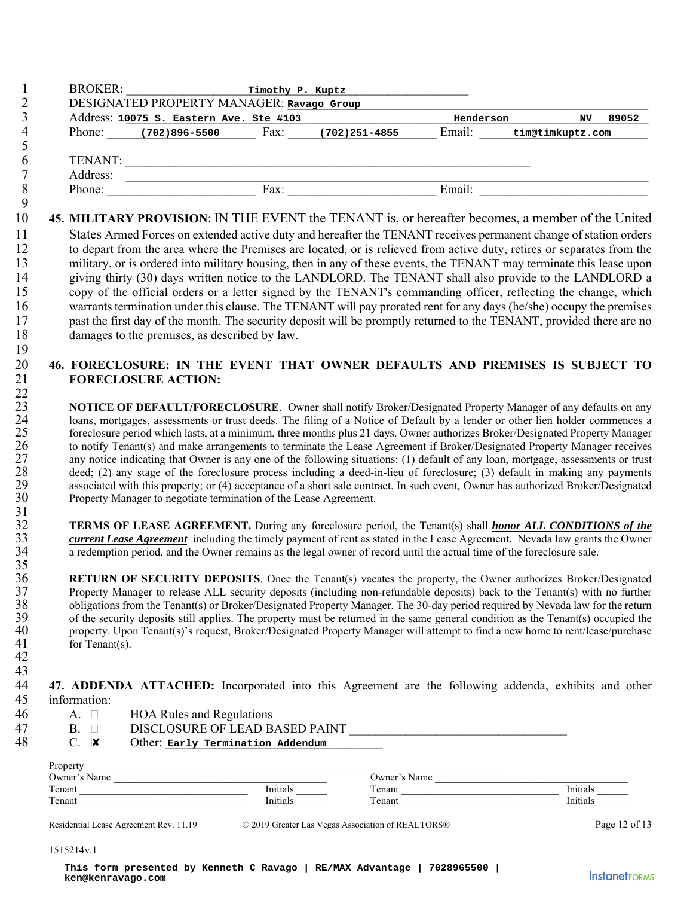|              |                |                                                                                                                                                                                                                                                                                      |  | Henderson<br>NV 89052                                                                                                                                                                                                                                                                                                                                                                                                                                                                                                                                                                                                                                                                                                                                                                                                                           |
|--------------|----------------|--------------------------------------------------------------------------------------------------------------------------------------------------------------------------------------------------------------------------------------------------------------------------------------|--|-------------------------------------------------------------------------------------------------------------------------------------------------------------------------------------------------------------------------------------------------------------------------------------------------------------------------------------------------------------------------------------------------------------------------------------------------------------------------------------------------------------------------------------------------------------------------------------------------------------------------------------------------------------------------------------------------------------------------------------------------------------------------------------------------------------------------------------------------|
|              |                | Address: 10075 s. Eastern Ave. Ste #103<br>Phone: (702)896-5500 Fax: (702)251-4855                                                                                                                                                                                                   |  | Email: tim@timkuptz.com                                                                                                                                                                                                                                                                                                                                                                                                                                                                                                                                                                                                                                                                                                                                                                                                                         |
|              |                |                                                                                                                                                                                                                                                                                      |  |                                                                                                                                                                                                                                                                                                                                                                                                                                                                                                                                                                                                                                                                                                                                                                                                                                                 |
|              |                |                                                                                                                                                                                                                                                                                      |  |                                                                                                                                                                                                                                                                                                                                                                                                                                                                                                                                                                                                                                                                                                                                                                                                                                                 |
|              |                |                                                                                                                                                                                                                                                                                      |  | TENANT:<br>Address:<br>Phone: Fax: Email: Email:                                                                                                                                                                                                                                                                                                                                                                                                                                                                                                                                                                                                                                                                                                                                                                                                |
|              |                |                                                                                                                                                                                                                                                                                      |  | 45. MILITARY PROVISION: IN THE EVENT the TENANT is, or hereafter becomes, a member of the United                                                                                                                                                                                                                                                                                                                                                                                                                                                                                                                                                                                                                                                                                                                                                |
|              |                | damages to the premises, as described by law.                                                                                                                                                                                                                                        |  | States Armed Forces on extended active duty and hereafter the TENANT receives permanent change of station orders<br>to depart from the area where the Premises are located, or is relieved from active duty, retires or separates from the<br>military, or is ordered into military housing, then in any of these events, the TENANT may terminate this lease upon<br>giving thirty (30) days written notice to the LANDLORD. The TENANT shall also provide to the LANDLORD a<br>copy of the official orders or a letter signed by the TENANT's commanding officer, reflecting the change, which<br>warrants termination under this clause. The TENANT will pay prorated rent for any days (he/she) occupy the premises<br>past the first day of the month. The security deposit will be promptly returned to the TENANT, provided there are no |
|              |                |                                                                                                                                                                                                                                                                                      |  | 46. FORECLOSURE: IN THE EVENT THAT OWNER DEFAULTS AND PREMISES IS SUBJECT TO                                                                                                                                                                                                                                                                                                                                                                                                                                                                                                                                                                                                                                                                                                                                                                    |
|              |                | <b>FORECLOSURE ACTION:</b>                                                                                                                                                                                                                                                           |  |                                                                                                                                                                                                                                                                                                                                                                                                                                                                                                                                                                                                                                                                                                                                                                                                                                                 |
|              |                | Property Manager to negotiate termination of the Lease Agreement.                                                                                                                                                                                                                    |  | loans, mortgages, assessments or trust deeds. The filing of a Notice of Default by a lender or other lien holder commences a<br>foreclosure period which lasts, at a minimum, three months plus 21 days. Owner authorizes Broker/Designated Property Manager<br>to notify Tenant(s) and make arrangements to terminate the Lease Agreement if Broker/Designated Property Manager receives<br>any notice indicating that Owner is any one of the following situations: (1) default of any loan, mortgage, assessments or trust<br>deed; (2) any stage of the foreclosure process including a deed-in-lieu of foreclosure; (3) default in making any payments<br>associated with this property; or (4) acceptance of a short sale contract. In such event, Owner has authorized Broker/Designated                                                 |
|              |                | a redemption period, and the Owner remains as the legal owner of record until the actual time of the foreclosure sale.                                                                                                                                                               |  | <b>TERMS OF LEASE AGREEMENT.</b> During any foreclosure period, the Tenant(s) shall <b>honor ALL CONDITIONS</b> of the<br>current Lease Agreement including the timely payment of rent as stated in the Lease Agreement. Nevada law grants the Owner                                                                                                                                                                                                                                                                                                                                                                                                                                                                                                                                                                                            |
|              | for Tenant(s). |                                                                                                                                                                                                                                                                                      |  | RETURN OF SECURITY DEPOSITS. Once the Tenant(s) vacates the property, the Owner authorizes Broker/Designated<br>Property Manager to release ALL security deposits (including non-refundable deposits) back to the Tenant(s) with no further<br>obligations from the Tenant(s) or Broker/Designated Property Manager. The 30-day period required by Nevada law for the return<br>of the security deposits still applies. The property must be returned in the same general condition as the Tenant(s) occupied the<br>property. Upon Tenant(s)'s request, Broker/Designated Property Manager will attempt to find a new home to rent/lease/purchase                                                                                                                                                                                              |
| information: |                |                                                                                                                                                                                                                                                                                      |  | 47. ADDENDA ATTACHED: Incorporated into this Agreement are the following addenda, exhibits and other                                                                                                                                                                                                                                                                                                                                                                                                                                                                                                                                                                                                                                                                                                                                            |
|              | A. $\square$   | <b>HOA Rules and Regulations</b>                                                                                                                                                                                                                                                     |  |                                                                                                                                                                                                                                                                                                                                                                                                                                                                                                                                                                                                                                                                                                                                                                                                                                                 |
|              | $B. \Box$      |                                                                                                                                                                                                                                                                                      |  |                                                                                                                                                                                                                                                                                                                                                                                                                                                                                                                                                                                                                                                                                                                                                                                                                                                 |
|              | $C. \times$    | Other: Early Termination Addendum                                                                                                                                                                                                                                                    |  |                                                                                                                                                                                                                                                                                                                                                                                                                                                                                                                                                                                                                                                                                                                                                                                                                                                 |
| Property     |                |                                                                                                                                                                                                                                                                                      |  |                                                                                                                                                                                                                                                                                                                                                                                                                                                                                                                                                                                                                                                                                                                                                                                                                                                 |
|              |                |                                                                                                                                                                                                                                                                                      |  |                                                                                                                                                                                                                                                                                                                                                                                                                                                                                                                                                                                                                                                                                                                                                                                                                                                 |
|              |                | Owner's Name<br>Tenant<br>Tenant<br>Tenant<br>Tenant<br>Tenant<br>Tenant<br>Tenant<br>Tenant<br>Tenant<br>Tenant<br>Tenant<br>Tenant<br>Tenant<br>Tenant<br>Tenant<br>Tenant<br>Tenant<br>Tenant<br>Tenant<br>Tenant<br>Tenant<br>Tenant<br>Tenant<br>Tenant<br>Tenant<br>Tenant<br> |  | Owner's Name<br>Tenant<br>Tenant<br>Tenant<br>Tenant<br>Tenant<br>Tenant<br>Tenant<br>Tenant<br>Tenant<br>Tenant<br>Tenant<br>Tenant<br>Tenant<br>Tenant<br>Tenant<br>Tenant<br>Tenant<br>Tenant<br>Tenant<br>Tenant<br>Tenant<br>Tenant<br>Tenant<br>Tenant<br>Tenant<br>Tenant<br>                                                                                                                                                                                                                                                                                                                                                                                                                                                                                                                                                            |
|              |                |                                                                                                                                                                                                                                                                                      |  |                                                                                                                                                                                                                                                                                                                                                                                                                                                                                                                                                                                                                                                                                                                                                                                                                                                 |
|              |                | Residential Lease Agreement Rev. 11.19 © 2019 Greater Las Vegas Association of REALTORS®                                                                                                                                                                                             |  | Page 12 of 13                                                                                                                                                                                                                                                                                                                                                                                                                                                                                                                                                                                                                                                                                                                                                                                                                                   |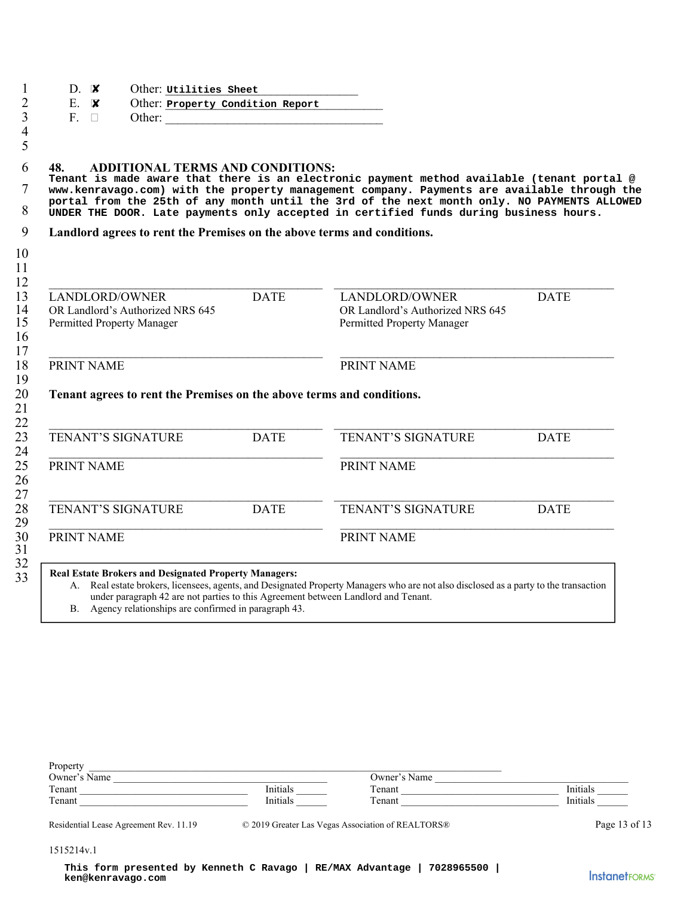| 48.<br><b>ADDITIONAL TERMS AND CONDITIONS:</b>                                                                                                                                                              |             | Tenant is made aware that there is an electronic payment method available (tenant portal @<br>www.kenravago.com) with the property management company. Payments are available through the<br>portal from the 25th of any month until the 3rd of the next month only. NO PAYMENTS ALLOWED<br>UNDER THE DOOR. Late payments only accepted in certified funds during business hours. |             |
|-------------------------------------------------------------------------------------------------------------------------------------------------------------------------------------------------------------|-------------|-----------------------------------------------------------------------------------------------------------------------------------------------------------------------------------------------------------------------------------------------------------------------------------------------------------------------------------------------------------------------------------|-------------|
| Landlord agrees to rent the Premises on the above terms and conditions.                                                                                                                                     |             |                                                                                                                                                                                                                                                                                                                                                                                   |             |
| LANDLORD/OWNER<br>OR Landlord's Authorized NRS 645<br>Permitted Property Manager                                                                                                                            | <b>DATE</b> | LANDLORD/OWNER<br>OR Landlord's Authorized NRS 645<br>Permitted Property Manager                                                                                                                                                                                                                                                                                                  | <b>DATE</b> |
| PRINT NAME                                                                                                                                                                                                  |             | PRINT NAME                                                                                                                                                                                                                                                                                                                                                                        |             |
| Tenant agrees to rent the Premises on the above terms and conditions.                                                                                                                                       |             |                                                                                                                                                                                                                                                                                                                                                                                   |             |
| TENANT'S SIGNATURE                                                                                                                                                                                          | <b>DATE</b> | TENANT'S SIGNATURE                                                                                                                                                                                                                                                                                                                                                                | <b>DATE</b> |
| PRINT NAME                                                                                                                                                                                                  |             | PRINT NAME                                                                                                                                                                                                                                                                                                                                                                        |             |
| TENANT'S SIGNATURE                                                                                                                                                                                          | <b>DATE</b> | TENANT'S SIGNATURE                                                                                                                                                                                                                                                                                                                                                                | <b>DATE</b> |
| PRINT NAME                                                                                                                                                                                                  |             | PRINT NAME                                                                                                                                                                                                                                                                                                                                                                        |             |
| <b>Real Estate Brokers and Designated Property Managers:</b><br>under paragraph 42 are not parties to this Agreement between Landlord and Tenant.<br>B. Agency relationships are confirmed in paragraph 43. |             | A. Real estate brokers, licensees, agents, and Designated Property Managers who are not also disclosed as a party to the transaction                                                                                                                                                                                                                                              |             |
| Property<br><u> 2000 - 2000 - 2000 - 2000 - 2000 - 2000 - 2000 - 2000 - 2000 - 2000 - 2000 - 2000 - 2000 - 2000 - 2000 - 200</u><br>Owner's Name                                                            |             | Owner's Name                                                                                                                                                                                                                                                                                                                                                                      |             |
| Tenant                                                                                                                                                                                                      | Initials    | Tenant                                                                                                                                                                                                                                                                                                                                                                            | Initials    |
|                                                                                                                                                                                                             | Initials    | Tenant                                                                                                                                                                                                                                                                                                                                                                            | Initials    |

| Property       |          |                |          |
|----------------|----------|----------------|----------|
| Owner'<br>Name |          | :)wner<br>Name |          |
| Tenant         | Initials | Tenant         | Initial  |
| Tenant         | Initials | —<br>l'enant   | Initials |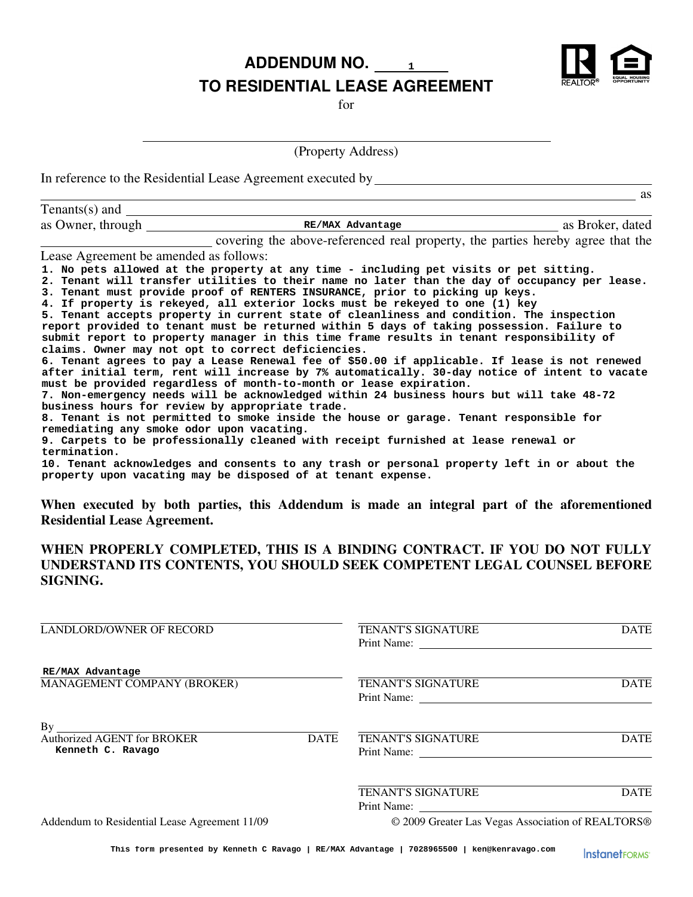**ADDENDUM NO. 1**



### **TO RESIDENTIAL LEASE AGREEMENT**

for

(Property Address)

In reference to the Residential Lease Agreement executed by

|                                                           |                                                                                                                                                                                                                                                                                                                                                                                                                                                                                                                                                                                                                                                                                                                                                                                                                                                                                                                                                                                                                                                                                                                                                                                                                                                                                                                                                                                                                                                                         | <b>as</b>        |
|-----------------------------------------------------------|-------------------------------------------------------------------------------------------------------------------------------------------------------------------------------------------------------------------------------------------------------------------------------------------------------------------------------------------------------------------------------------------------------------------------------------------------------------------------------------------------------------------------------------------------------------------------------------------------------------------------------------------------------------------------------------------------------------------------------------------------------------------------------------------------------------------------------------------------------------------------------------------------------------------------------------------------------------------------------------------------------------------------------------------------------------------------------------------------------------------------------------------------------------------------------------------------------------------------------------------------------------------------------------------------------------------------------------------------------------------------------------------------------------------------------------------------------------------------|------------------|
| Tenants(s) and $\Box$                                     |                                                                                                                                                                                                                                                                                                                                                                                                                                                                                                                                                                                                                                                                                                                                                                                                                                                                                                                                                                                                                                                                                                                                                                                                                                                                                                                                                                                                                                                                         |                  |
| as Owner, through                                         | RE/MAX Advantage                                                                                                                                                                                                                                                                                                                                                                                                                                                                                                                                                                                                                                                                                                                                                                                                                                                                                                                                                                                                                                                                                                                                                                                                                                                                                                                                                                                                                                                        | as Broker, dated |
|                                                           | covering the above-referenced real property, the parties hereby agree that the                                                                                                                                                                                                                                                                                                                                                                                                                                                                                                                                                                                                                                                                                                                                                                                                                                                                                                                                                                                                                                                                                                                                                                                                                                                                                                                                                                                          |                  |
| Lease Agreement be amended as follows:                    |                                                                                                                                                                                                                                                                                                                                                                                                                                                                                                                                                                                                                                                                                                                                                                                                                                                                                                                                                                                                                                                                                                                                                                                                                                                                                                                                                                                                                                                                         |                  |
| remediating any smoke odor upon vacating.<br>termination. | 1. No pets allowed at the property at any time - including pet visits or pet sitting.<br>2. Tenant will transfer utilities to their name no later than the day of occupancy per lease.<br>3. Tenant must provide proof of RENTERS INSURANCE, prior to picking up keys.<br>4. If property is rekeyed, all exterior locks must be rekeyed to one (1) key<br>5. Tenant accepts property in current state of cleanliness and condition. The inspection<br>report provided to tenant must be returned within 5 days of taking possession. Failure to<br>submit report to property manager in this time frame results in tenant responsibility of<br>claims. Owner may not opt to correct deficiencies.<br>6. Tenant agrees to pay a Lease Renewal fee of \$50.00 if applicable. If lease is not renewed<br>after initial term, rent will increase by 7% automatically. 30-day notice of intent to vacate<br>must be provided regardless of month-to-month or lease expiration.<br>7. Non-emergency needs will be acknowledged within 24 business hours but will take 48-72<br>business hours for review by appropriate trade.<br>8. Tenant is not permitted to smoke inside the house or garage. Tenant responsible for<br>9. Carpets to be professionally cleaned with receipt furnished at lease renewal or<br>10. Tenant acknowledges and consents to any trash or personal property left in or about the<br>property upon vacating may be disposed of at tenant expense. |                  |

**When executed by both parties, this Addendum is made an integral part of the aforementioned Residential Lease Agreement.**

### **WHEN PROPERLY COMPLETED, THIS IS A BINDING CONTRACT. IF YOU DO NOT FULLY UNDERSTAND ITS CONTENTS, YOU SHOULD SEEK COMPETENT LEGAL COUNSEL BEFORE SIGNING.**

| LANDLORD/OWNER OF RECORD                                                     | <b>TENANT'S SIGNATURE</b><br>Print Name:          | <b>DATE</b> |
|------------------------------------------------------------------------------|---------------------------------------------------|-------------|
| RE/MAX Advantage<br>MANAGEMENT COMPANY (BROKER)                              | <b>TENANT'S SIGNATURE</b>                         | <b>DATE</b> |
| By<br><b>Authorized AGENT for BROKER</b><br><b>DATE</b><br>Kenneth C. Ravago | <b>TENANT'S SIGNATURE</b><br>Print Name:          | <b>DATE</b> |
|                                                                              | <b>TENANT'S SIGNATURE</b><br>Print Name:          | <b>DATE</b> |
| Addendum to Residential Lease Agreement 11/09                                | © 2009 Greater Las Vegas Association of REALTORS® |             |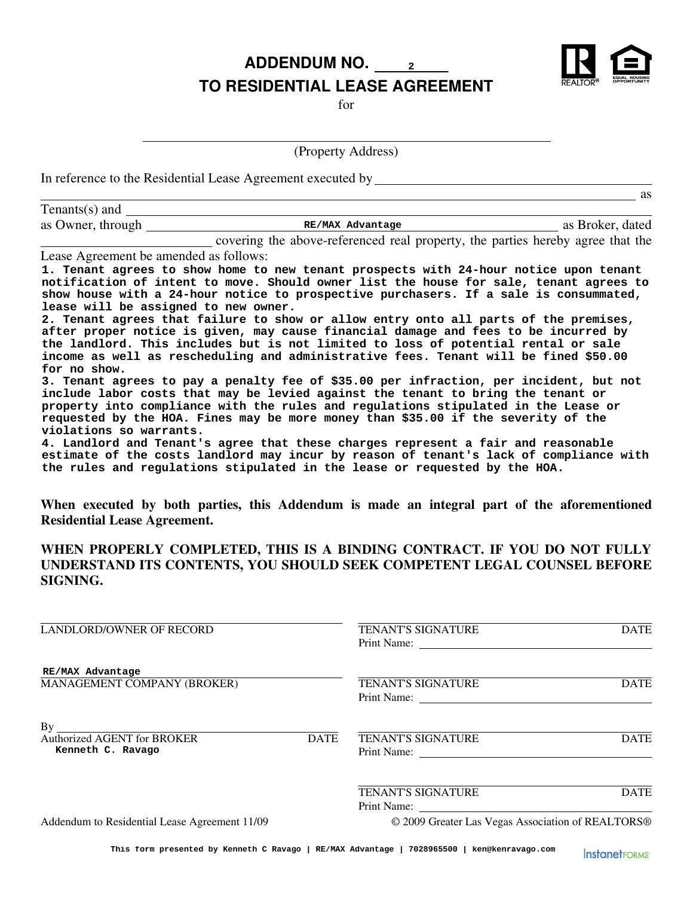**ADDENDUM NO. 2 TO RESIDENTIAL LEASE AGREEMENT**

for

(Property Address)

In reference to the Residential Lease Agreement executed by

|                                        |                                                                                                                                                                                                                                                                                                                                                                                                                                                         | as               |
|----------------------------------------|---------------------------------------------------------------------------------------------------------------------------------------------------------------------------------------------------------------------------------------------------------------------------------------------------------------------------------------------------------------------------------------------------------------------------------------------------------|------------------|
| Tenants(s) and $\qquad$                |                                                                                                                                                                                                                                                                                                                                                                                                                                                         |                  |
| as Owner, through                      | RE/MAX Advantage                                                                                                                                                                                                                                                                                                                                                                                                                                        | as Broker, dated |
|                                        | covering the above-referenced real property, the parties hereby agree that the                                                                                                                                                                                                                                                                                                                                                                          |                  |
| Lease Agreement be amended as follows: |                                                                                                                                                                                                                                                                                                                                                                                                                                                         |                  |
| lease will be assigned to new owner.   | 1. Tenant agrees to show home to new tenant prospects with 24-hour notice upon tenant<br>notification of intent to move. Should owner list the house for sale, tenant agrees to<br>show house with a 24-hour notice to prospective purchasers. If a sale is consummated,<br>2. Tenant agrees that failure to show or allow entry onto all parts of the premises,<br>after proper notice is given, may cause financial damage and fees to be incurred by |                  |
|                                        | the landlord. This includes but is not limited to loss of potential rental or sale<br>income as well as rescheduling and administrative fees. Tenant will be fined \$50.00                                                                                                                                                                                                                                                                              |                  |
| for no show.                           |                                                                                                                                                                                                                                                                                                                                                                                                                                                         |                  |
|                                        | 3. Tenant agrees to pay a penalty fee of \$35.00 per infraction, per incident, but not                                                                                                                                                                                                                                                                                                                                                                  |                  |
|                                        | include labor costs that may be levied against the tenant to bring the tenant or                                                                                                                                                                                                                                                                                                                                                                        |                  |
|                                        | property into compliance with the rules and regulations stipulated in the Lease or                                                                                                                                                                                                                                                                                                                                                                      |                  |

**violations so warrants. 4. Landlord and Tenant's agree that these charges represent a fair and reasonable estimate of the costs landlord may incur by reason of tenant's lack of compliance with the rules and regulations stipulated in the lease or requested by the HOA.**

**requested by the HOA. Fines may be more money than \$35.00 if the severity of the**

**When executed by both parties, this Addendum is made an integral part of the aforementioned Residential Lease Agreement.**

### **WHEN PROPERLY COMPLETED, THIS IS A BINDING CONTRACT. IF YOU DO NOT FULLY UNDERSTAND ITS CONTENTS, YOU SHOULD SEEK COMPETENT LEGAL COUNSEL BEFORE SIGNING.**

| LANDLORD/OWNER OF RECORD                               |             | <b>TENANT'S SIGNATURE</b><br><b>DATE</b><br>Print Name: |             |
|--------------------------------------------------------|-------------|---------------------------------------------------------|-------------|
| RE/MAX Advantage<br>MANAGEMENT COMPANY (BROKER)        |             | <b>TENANT'S SIGNATURE</b><br>Print Name:                | <b>DATE</b> |
| By<br>Authorized AGENT for BROKER<br>Kenneth C. Ravago | <b>DATE</b> | <b>TENANT'S SIGNATURE</b><br>Print Name:                | <b>DATE</b> |
|                                                        |             | <b>TENANT'S SIGNATURE</b><br>Print Name:                | <b>DATE</b> |
| Addendum to Residential Lease Agreement 11/09          |             | © 2009 Greater Las Vegas Association of REALTORS®       |             |



as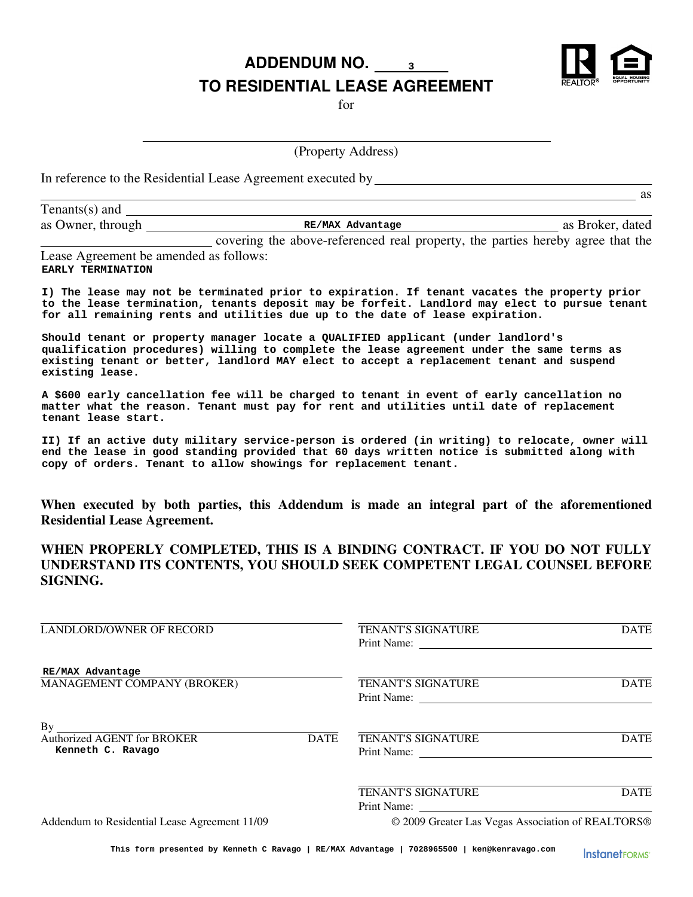**ADDENDUM NO. 3 TO RESIDENTIAL LEASE AGREEMENT**

for

(Property Address)

In reference to the Residential Lease Agreement executed by

| Tenants $(s)$ and |                                                                              |                  |
|-------------------|------------------------------------------------------------------------------|------------------|
| as Owner, through | RE/MAX Advantage                                                             | as Broker, dated |
|                   | agreeing the clear usforeseed need memory the montion boughts agree that the |                  |

as

covering the above-referenced real property, the parties hereby agree that the Lease Agreement be amended as follows: **EARLY TERMINATION**

**I) The lease may not be terminated prior to expiration. If tenant vacates the property prior to the lease termination, tenants deposit may be forfeit. Landlord may elect to pursue tenant for all remaining rents and utilities due up to the date of lease expiration.**

**Should tenant or property manager locate a QUALIFIED applicant (under landlord's qualification procedures) willing to complete the lease agreement under the same terms as existing tenant or better, landlord MAY elect to accept a replacement tenant and suspend existing lease.**

**A \$600 early cancellation fee will be charged to tenant in event of early cancellation no matter what the reason. Tenant must pay for rent and utilities until date of replacement tenant lease start.**

**II) If an active duty military service-person is ordered (in writing) to relocate, owner will end the lease in good standing provided that 60 days written notice is submitted along with copy of orders. Tenant to allow showings for replacement tenant.**

**When executed by both parties, this Addendum is made an integral part of the aforementioned Residential Lease Agreement.**

**WHEN PROPERLY COMPLETED, THIS IS A BINDING CONTRACT. IF YOU DO NOT FULLY UNDERSTAND ITS CONTENTS, YOU SHOULD SEEK COMPETENT LEGAL COUNSEL BEFORE SIGNING.**

| <b>LANDLORD/OWNER OF RECORD</b>                                                                                              | <b>TENANT'S SIGNATURE</b><br><b>DATE</b>          |             |
|------------------------------------------------------------------------------------------------------------------------------|---------------------------------------------------|-------------|
| RE/MAX Advantage<br>MANAGEMENT COMPANY (BROKER)                                                                              | <b>TENANT'S SIGNATURE</b><br>Print Name:          | <b>DATE</b> |
| By<br><u> 1989 - Johann Barbara, martxa alemaniar arg</u><br>Authorized AGENT for BROKER<br><b>DATE</b><br>Kenneth C. Ravago | <b>TENANT'S SIGNATURE</b><br>Print Name:          | <b>DATE</b> |
|                                                                                                                              | <b>TENANT'S SIGNATURE</b><br>Print Name:          | <b>DATE</b> |
| Addendum to Residential Lease Agreement 11/09                                                                                | © 2009 Greater Las Vegas Association of REALTORS® |             |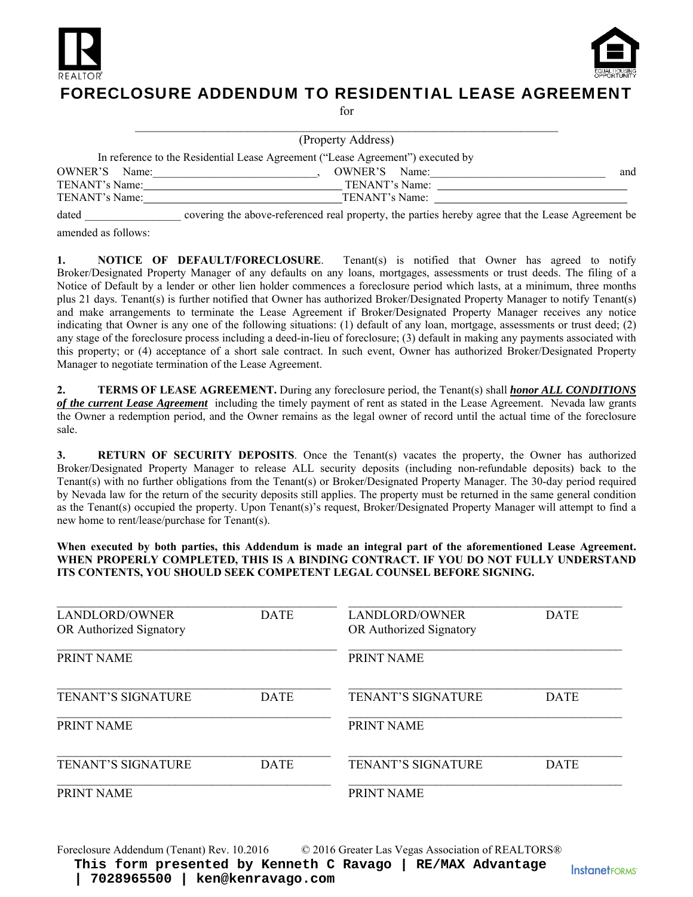



### FORECLOSURE ADDENDUM TO RESIDENTIAL LEASE AGREEMENT

for

|                  | (Property Address)                                                              |     |
|------------------|---------------------------------------------------------------------------------|-----|
|                  | In reference to the Residential Lease Agreement ("Lease Agreement") executed by |     |
| OWNER'S<br>Name: | OWNER'S Name:                                                                   | and |
| TENANT's Name:   | TENANT's Name:                                                                  |     |
| TENANT's Name:   | TENANT's Name:                                                                  |     |

dated covering the above-referenced real property, the parties hereby agree that the Lease Agreement be

amended as follows:

**1. NOTICE OF DEFAULT/FORECLOSURE**. Tenant(s) is notified that Owner has agreed to notify Broker/Designated Property Manager of any defaults on any loans, mortgages, assessments or trust deeds. The filing of a Notice of Default by a lender or other lien holder commences a foreclosure period which lasts, at a minimum, three months plus 21 days. Tenant(s) is further notified that Owner has authorized Broker/Designated Property Manager to notify Tenant(s) and make arrangements to terminate the Lease Agreement if Broker/Designated Property Manager receives any notice indicating that Owner is any one of the following situations: (1) default of any loan, mortgage, assessments or trust deed; (2) any stage of the foreclosure process including a deed-in-lieu of foreclosure; (3) default in making any payments associated with this property; or (4) acceptance of a short sale contract. In such event, Owner has authorized Broker/Designated Property Manager to negotiate termination of the Lease Agreement.

**2. TERMS OF LEASE AGREEMENT.** During any foreclosure period, the Tenant(s) shall *honor ALL CONDITIONS of the current Lease Agreement* including the timely payment of rent as stated in the Lease Agreement. Nevada law grants the Owner a redemption period, and the Owner remains as the legal owner of record until the actual time of the foreclosure sale.

**3.** RETURN OF SECURITY DEPOSITS. Once the Tenant(s) vacates the property, the Owner has authorized Broker/Designated Property Manager to release ALL security deposits (including non-refundable deposits) back to the Tenant(s) with no further obligations from the Tenant(s) or Broker/Designated Property Manager. The 30-day period required by Nevada law for the return of the security deposits still applies. The property must be returned in the same general condition as the Tenant(s) occupied the property. Upon Tenant(s)'s request, Broker/Designated Property Manager will attempt to find a new home to rent/lease/purchase for Tenant(s).

#### When executed by both parties, this Addendum is made an integral part of the aforementioned Lease Agreement. **WHEN PROPERLY COMPLETED, THIS IS A BINDING CONTRACT. IF YOU DO NOT FULLY UNDERSTAND ITS CONTENTS, YOU SHOULD SEEK COMPETENT LEGAL COUNSEL BEFORE SIGNING.**

| LANDLORD/OWNER            | <b>DATE</b> | LANDLORD/OWNER            | <b>DATE</b> |
|---------------------------|-------------|---------------------------|-------------|
| OR Authorized Signatory   |             | OR Authorized Signatory   |             |
| <b>PRINT NAME</b>         |             | PRINT NAME                |             |
| <b>TENANT'S SIGNATURE</b> | <b>DATE</b> | <b>TENANT'S SIGNATURE</b> | <b>DATE</b> |
| PRINT NAME                |             | <b>PRINT NAME</b>         |             |
| <b>TENANT'S SIGNATURE</b> | <b>DATE</b> | TENANT'S SIGNATURE        | <b>DATE</b> |
| PRINT NAME                |             | PRINT NAME                |             |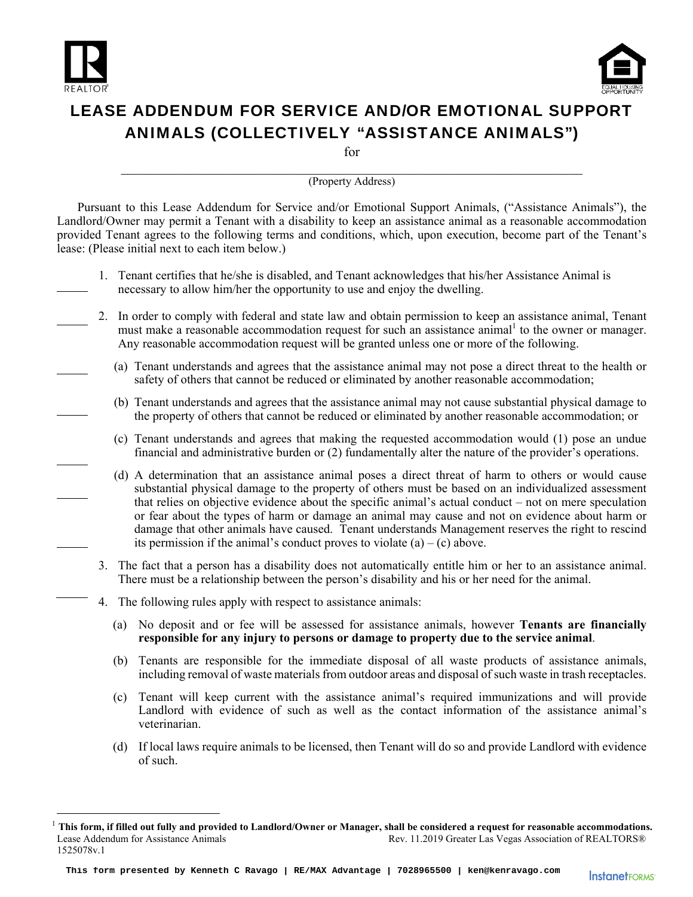

 $\overline{a}$ 



## LEASE ADDENDUM FOR SERVICE AND/OR EMOTIONAL SUPPORT ANIMALS (COLLECTIVELY "ASSISTANCE ANIMALS")

for

# \_\_\_\_\_\_\_\_\_\_\_\_\_\_\_\_\_\_\_\_\_\_\_\_\_\_\_\_\_\_\_\_\_\_\_\_\_\_\_\_\_\_\_\_\_\_\_\_\_\_\_\_\_\_\_\_\_\_\_\_\_\_\_\_\_\_\_\_ (Property Address)

Pursuant to this Lease Addendum for Service and/or Emotional Support Animals, ("Assistance Animals"), the Landlord/Owner may permit a Tenant with a disability to keep an assistance animal as a reasonable accommodation provided Tenant agrees to the following terms and conditions, which, upon execution, become part of the Tenant's lease: (Please initial next to each item below.)

- 1. Tenant certifies that he/she is disabled, and Tenant acknowledges that his/her Assistance Animal is necessary to allow him/her the opportunity to use and enjoy the dwelling.
- 2. In order to comply with federal and state law and obtain permission to keep an assistance animal, Tenant must make a reasonable accommodation request for such an assistance animal<sup>1</sup> to the owner or manager. Any reasonable accommodation request will be granted unless one or more of the following.
	- (a) Tenant understands and agrees that the assistance animal may not pose a direct threat to the health or safety of others that cannot be reduced or eliminated by another reasonable accommodation;
	- (b) Tenant understands and agrees that the assistance animal may not cause substantial physical damage to the property of others that cannot be reduced or eliminated by another reasonable accommodation; or
	- (c) Tenant understands and agrees that making the requested accommodation would (1) pose an undue financial and administrative burden or (2) fundamentally alter the nature of the provider's operations.
	- (d) A determination that an assistance animal poses a direct threat of harm to others or would cause substantial physical damage to the property of others must be based on an individualized assessment that relies on objective evidence about the specific animal's actual conduct – not on mere speculation or fear about the types of harm or damage an animal may cause and not on evidence about harm or damage that other animals have caused. Tenant understands Management reserves the right to rescind its permission if the animal's conduct proves to violate  $(a) - (c)$  above.
	- 3. The fact that a person has a disability does not automatically entitle him or her to an assistance animal. There must be a relationship between the person's disability and his or her need for the animal.
	- 4. The following rules apply with respect to assistance animals:
		- (a) No deposit and or fee will be assessed for assistance animals, however **Tenants are financially responsible for any injury to persons or damage to property due to the service animal**.
		- (b) Tenants are responsible for the immediate disposal of all waste products of assistance animals, including removal of waste materials from outdoor areas and disposal of such waste in trash receptacles.
		- (c) Tenant will keep current with the assistance animal's required immunizations and will provide Landlord with evidence of such as well as the contact information of the assistance animal's veterinarian.
		- (d) If local laws require animals to be licensed, then Tenant will do so and provide Landlord with evidence of such.

Lease Addendum for Assistance Animals Rev. 11.2019 Greater Las Vegas Association of REALTORS® 1525078v.1 <sup>1</sup> This form, if filled out fully and provided to Landlord/Owner or Manager, shall be considered a request for reasonable accommodations.